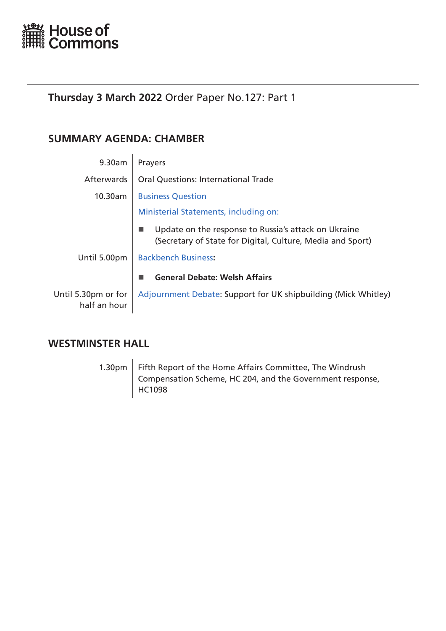<span id="page-0-0"></span>

# **Thursday 3 March 2022** Order Paper No.127: Part 1

# **SUMMARY AGENDA: CHAMBER**

| 9.30am                              | Prayers                                                                                                            |
|-------------------------------------|--------------------------------------------------------------------------------------------------------------------|
| <b>Afterwards</b>                   | <b>Oral Questions: International Trade</b>                                                                         |
| 10.30am                             | <b>Business Question</b>                                                                                           |
|                                     | Ministerial Statements, including on:                                                                              |
|                                     | Update on the response to Russia's attack on Ukraine<br>(Secretary of State for Digital, Culture, Media and Sport) |
| Until 5.00pm                        | <b>Backbench Business:</b>                                                                                         |
|                                     | <b>General Debate: Welsh Affairs</b>                                                                               |
| Until 5.30pm or for<br>half an hour | Adjournment Debate: Support for UK shipbuilding (Mick Whitley)                                                     |

# **WESTMINSTER HALL**

1.30pm Fifth Report of the Home Affairs Committee, The Windrush Compensation Scheme, HC 204, and the Government response, HC1098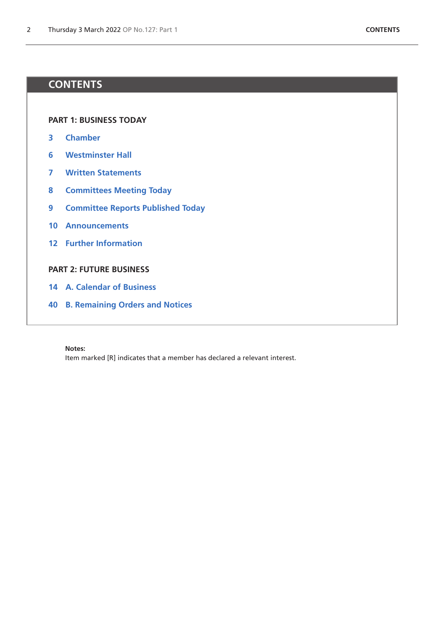# **CONTENTS**

**[PART 1: BUSINESS TODAY](#page-0-0)**

- **[Chamber](#page-2-0)**
- **[Westminster Hall](#page-5-0)**
- **[Written Statements](#page-6-0)**
- **[Committees Meeting Today](#page-7-0)**
- **[Committee Reports Published Today](#page-8-0)**
- **[Announcements](#page-9-0)**
- **[Further Information](#page-11-0)**

# **[PART 2: FUTURE BUSINESS](#page-12-0)**

- **[A. Calendar of Business](#page-13-0)**
- **[B. Remaining Orders and Notices](#page-39-0)**

#### **Notes:**

Item marked [R] indicates that a member has declared a relevant interest.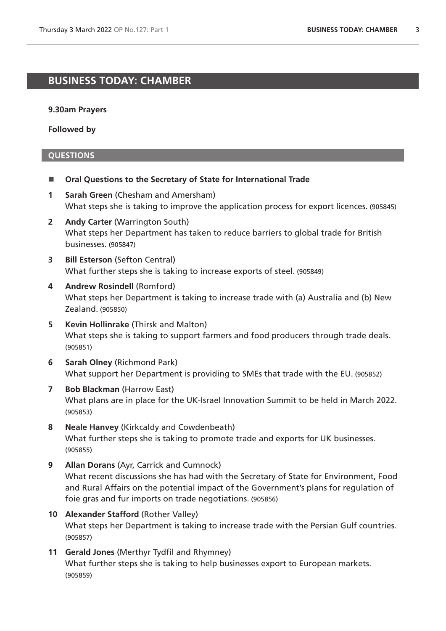# <span id="page-2-0"></span>**BUSINESS TODAY: CHAMBER**

#### **9.30am Prayers**

**Followed by**

- **Oral Questions to the Secretary of State for International Trade**
- **1 Sarah Green** (Chesham and Amersham) What steps she is taking to improve the application process for export licences. (905845)
- **2 Andy Carter** (Warrington South) What steps her Department has taken to reduce barriers to global trade for British businesses. (905847)
- **3 Bill Esterson** (Sefton Central) What further steps she is taking to increase exports of steel. (905849)
- **4 Andrew Rosindell** (Romford) What steps her Department is taking to increase trade with (a) Australia and (b) New Zealand. (905850)
- **5 Kevin Hollinrake** (Thirsk and Malton) What steps she is taking to support farmers and food producers through trade deals. (905851)
- **6 Sarah Olney** (Richmond Park) What support her Department is providing to SMEs that trade with the EU. (905852)
- **7 Bob Blackman** (Harrow East) What plans are in place for the UK-Israel Innovation Summit to be held in March 2022. (905853)
- **8 Neale Hanvey** (Kirkcaldy and Cowdenbeath) What further steps she is taking to promote trade and exports for UK businesses. (905855)
- **9 Allan Dorans** (Ayr, Carrick and Cumnock) What recent discussions she has had with the Secretary of State for Environment, Food and Rural Affairs on the potential impact of the Government's plans for regulation of foie gras and fur imports on trade negotiations. (905856)
- **10 Alexander Stafford** (Rother Valley) What steps her Department is taking to increase trade with the Persian Gulf countries. (905857)
- **11 Gerald Jones** (Merthyr Tydfil and Rhymney) What further steps she is taking to help businesses export to European markets. (905859)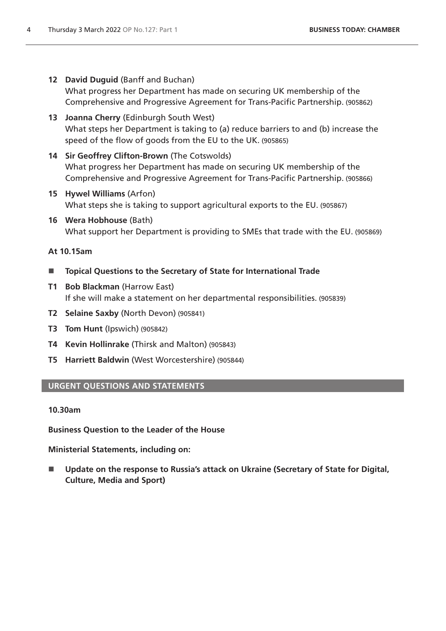**12 David Duguid** (Banff and Buchan)

What progress her Department has made on securing UK membership of the Comprehensive and Progressive Agreement for Trans-Pacific Partnership. (905862)

- **13 Joanna Cherry** (Edinburgh South West) What steps her Department is taking to (a) reduce barriers to and (b) increase the speed of the flow of goods from the EU to the UK. (905865)
- **14 Sir Geoffrey Clifton-Brown** (The Cotswolds) What progress her Department has made on securing UK membership of the Comprehensive and Progressive Agreement for Trans-Pacific Partnership. (905866)
- **15 Hywel Williams** (Arfon) What steps she is taking to support agricultural exports to the EU. (905867)
- **16 Wera Hobhouse** (Bath) What support her Department is providing to SMEs that trade with the EU. (905869)

# **At 10.15am**

- **Topical Questions to the Secretary of State for International Trade**
- **T1 Bob Blackman** (Harrow East) If she will make a statement on her departmental responsibilities. (905839)
- **T2 Selaine Saxby** (North Devon) (905841)
- **T3 Tom Hunt** (Ipswich) (905842)
- **T4 Kevin Hollinrake** (Thirsk and Malton) (905843)
- **T5 Harriett Baldwin** (West Worcestershire) (905844)

# <span id="page-3-1"></span>**URGENT QUESTIONS AND STATEMENTS**

# **10.30am**

<span id="page-3-0"></span>**Business Question to the Leader of the House**

**Ministerial Statements, including on:**

■ Update on the response to Russia's attack on Ukraine (Secretary of State for Digital, **Culture, Media and Sport)**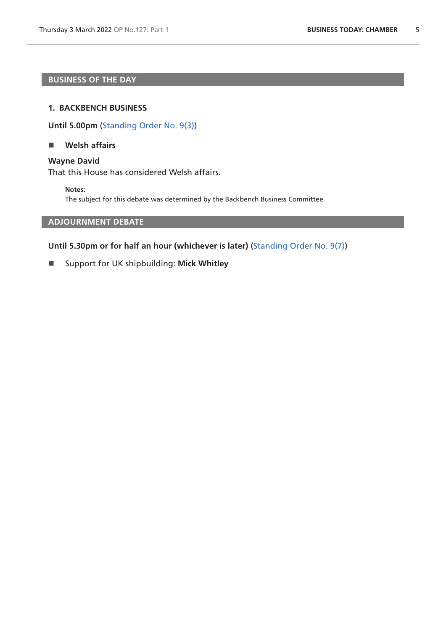# **BUSINESS OF THE DAY**

#### **1. BACKBENCH BUSINESS**

**Until 5.00pm** [\(Standing Order No. 9\(3\)](https://publications.parliament.uk/pa/cm5802/cmstords/so_804_2021/so-orders.html#so-9_3))

## <span id="page-4-0"></span>**Welsh affairs**

## **Wayne David**

That this House has considered Welsh affairs.

**Notes:**

The subject for this debate was determined by the Backbench Business Committee.

# <span id="page-4-1"></span>**ADJOURNMENT DEBATE**

# **Until 5.30pm or for half an hour (whichever is later)** [\(Standing Order No. 9\(7\)](https://publications.parliament.uk/pa/cm5802/cmstords/so_804_2021/so-orders.html#so-9_7))

Support for UK shipbuilding: **Mick Whitley**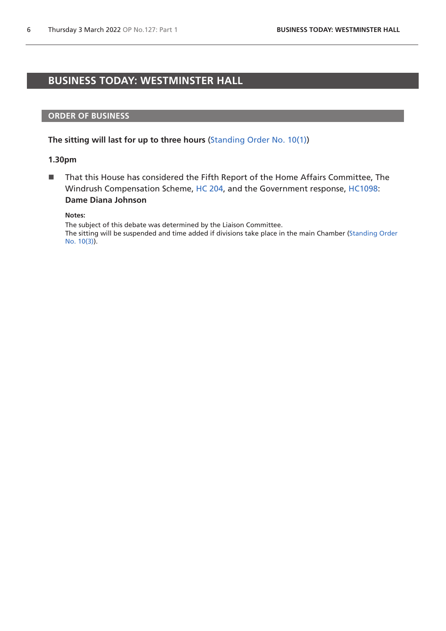# <span id="page-5-0"></span>**BUSINESS TODAY: WESTMINSTER HALL**

#### **ORDER OF BUSINESS**

#### **The sitting will last for up to three hours** [\(Standing Order No. 10\(1\)](https://publications.parliament.uk/pa/cm5802/cmstords/so_804_2021/so-orders.html#so-10_1))

#### **1.30pm**

■ That this House has considered the Fifth Report of the Home Affairs Committee, The Windrush Compensation Scheme, [HC 204,](https://committees.parliament.uk/publications/7936/documents/82209/default/) and the Government response, [HC1098:](https://committees.parliament.uk/publications/8776/documents/88887/default/) **Dame Diana Johnson**

**Notes:**

The subject of this debate was determined by the Liaison Committee.

The sitting will be suspended and time added if divisions take place in the main Chamber [\(Standing Order](https://publications.parliament.uk/pa/cm5802/cmstords/so_804_2021/so-orders.html#so-10_3)  [No. 10\(3\)](https://publications.parliament.uk/pa/cm5802/cmstords/so_804_2021/so-orders.html#so-10_3)).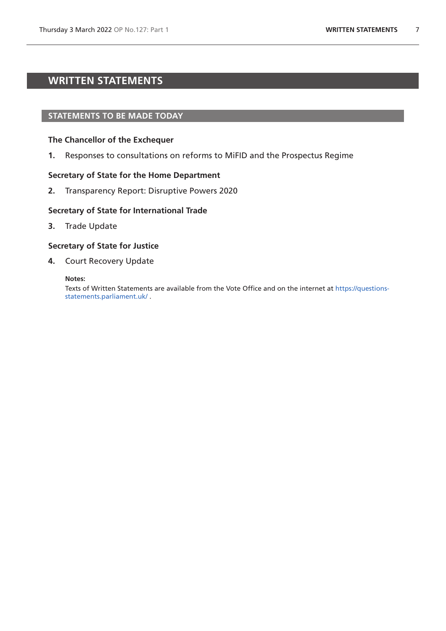# <span id="page-6-0"></span>**WRITTEN STATEMENTS**

#### **STATEMENTS TO BE MADE TODAY**

#### **The Chancellor of the Exchequer**

**1.** Responses to consultations on reforms to MiFID and the Prospectus Regime

#### **Secretary of State for the Home Department**

**2.** Transparency Report: Disruptive Powers 2020

#### **Secretary of State for International Trade**

**3.** Trade Update

## **Secretary of State for Justice**

**4.** Court Recovery Update

#### **Notes:**

Texts of Written Statements are available from the Vote Office and on the internet at [https://questions](https://questions-statements.parliament.uk/)[statements.parliament.uk/](https://questions-statements.parliament.uk/) .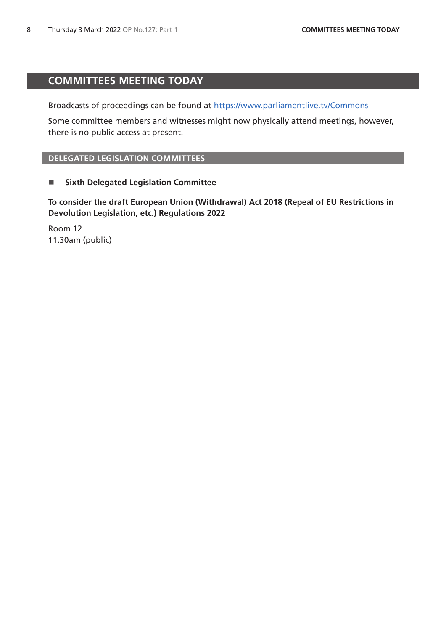# <span id="page-7-0"></span>**COMMITTEES MEETING TODAY**

Broadcasts of proceedings can be found at <https://www.parliamentlive.tv/Commons>

Some committee members and witnesses might now physically attend meetings, however, there is no public access at present.

# **DELEGATED LEGISLATION COMMITTEES**

**E** Sixth Delegated Legislation Committee

**To consider the draft European Union (Withdrawal) Act 2018 (Repeal of EU Restrictions in Devolution Legislation, etc.) Regulations 2022**

Room 12 11.30am (public)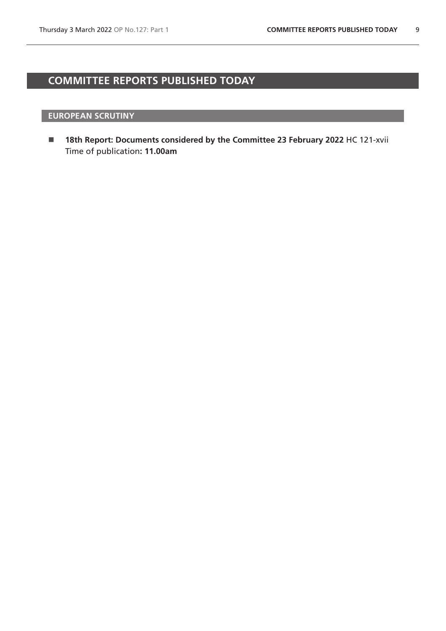# <span id="page-8-0"></span>**COMMITTEE REPORTS PUBLISHED TODAY**

# **EUROPEAN SCRUTINY**

 **18th Report: Documents considered by the Committee 23 February 2022** HC 121-xvii Time of publication**: 11.00am**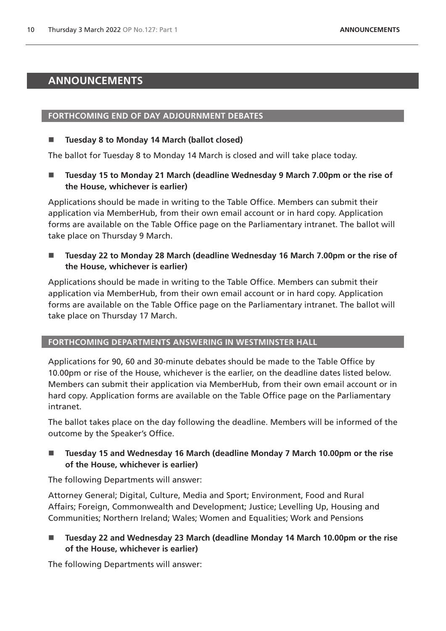# <span id="page-9-0"></span>**ANNOUNCEMENTS**

# **FORTHCOMING END OF DAY ADJOURNMENT DEBATES**

# **Tuesday 8 to Monday 14 March (ballot closed)**

The ballot for Tuesday 8 to Monday 14 March is closed and will take place today.

■ Tuesday 15 to Monday 21 March (deadline Wednesday 9 March 7.00pm or the rise of **the House, whichever is earlier)**

Applications should be made in writing to the Table Office. Members can submit their application via MemberHub, from their own email account or in hard copy. Application forms are available on the Table Office page on the Parliamentary intranet. The ballot will take place on Thursday 9 March.

■ Tuesday 22 to Monday 28 March (deadline Wednesday 16 March 7.00pm or the rise of **the House, whichever is earlier)**

Applications should be made in writing to the Table Office. Members can submit their application via MemberHub, from their own email account or in hard copy. Application forms are available on the Table Office page on the Parliamentary intranet. The ballot will take place on Thursday 17 March.

## **FORTHCOMING DEPARTMENTS ANSWERING IN WESTMINSTER HALL**

Applications for 90, 60 and 30-minute debates should be made to the Table Office by 10.00pm or rise of the House, whichever is the earlier, on the deadline dates listed below. Members can submit their application via MemberHub, from their own email account or in hard copy. Application forms are available on the Table Office page on the Parliamentary intranet.

The ballot takes place on the day following the deadline. Members will be informed of the outcome by the Speaker's Office.

■ Tuesday 15 and Wednesday 16 March (deadline Monday 7 March 10.00pm or the rise **of the House, whichever is earlier)**

The following Departments will answer:

Attorney General; Digital, Culture, Media and Sport; Environment, Food and Rural Affairs; Foreign, Commonwealth and Development; Justice; Levelling Up, Housing and Communities; Northern Ireland; Wales; Women and Equalities; Work and Pensions

 **Tuesday 22 and Wednesday 23 March (deadline Monday 14 March 10.00pm or the rise of the House, whichever is earlier)**

The following Departments will answer: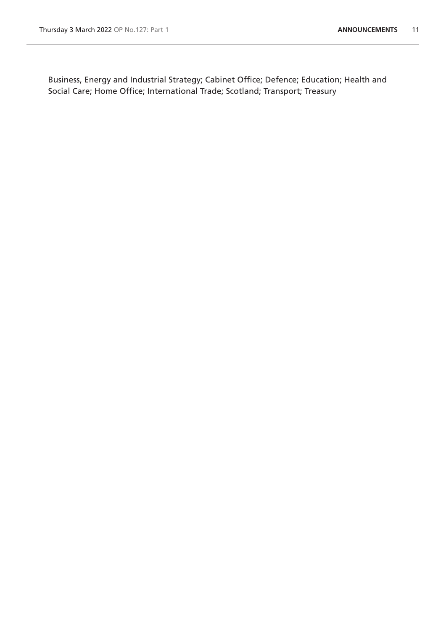Business, Energy and Industrial Strategy; Cabinet Office; Defence; Education; Health and Social Care; Home Office; International Trade; Scotland; Transport; Treasury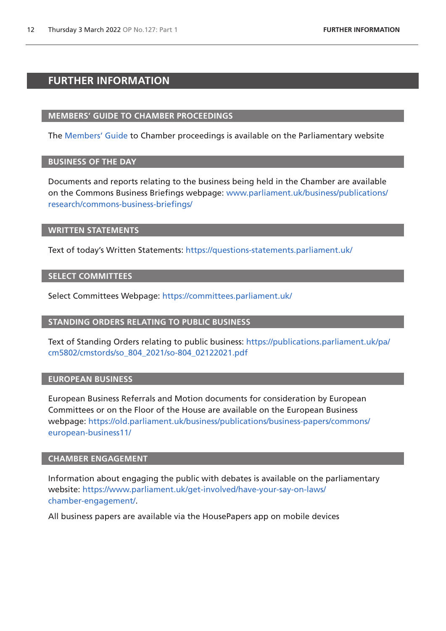# <span id="page-11-0"></span>**FURTHER INFORMATION**

## **MEMBERS' GUIDE TO CHAMBER PROCEEDINGS**

The [Members' Guide](https://guidetoprocedure.parliament.uk/mps-guide-to-procedure) to Chamber proceedings is available on the Parliamentary website

## **BUSINESS OF THE DAY**

Documents and reports relating to the business being held in the Chamber are available on the Commons Business Briefings webpage: [www.parliament.uk/business/publications/](http://www.parliament.uk/business/publications/research/commons-business-briefings/) [research/commons-business-briefings/](http://www.parliament.uk/business/publications/research/commons-business-briefings/)

#### **WRITTEN STATEMENTS**

Text of today's Written Statements:<https://questions-statements.parliament.uk/>

## **SELECT COMMITTEES**

Select Committees Webpage: <https://committees.parliament.uk/>

## **STANDING ORDERS RELATING TO PUBLIC BUSINESS**

Text of Standing Orders relating to public business: [https://publications.parliament.uk/pa/](https://publications.parliament.uk/pa/cm5802/cmstords/so_804_2021/so-804_02122021.pdf) [cm5802/cmstords/so\\_804\\_2021/so-804\\_02122021.pdf](https://publications.parliament.uk/pa/cm5802/cmstords/so_804_2021/so-804_02122021.pdf)

## **EUROPEAN BUSINESS**

European Business Referrals and Motion documents for consideration by European Committees or on the Floor of the House are available on the European Business webpage: [https://old.parliament.uk/business/publications/business-papers/commons/](https://old.parliament.uk/business/publications/business-papers/commons/european-business11/) [european-business11/](https://old.parliament.uk/business/publications/business-papers/commons/european-business11/)

## **CHAMBER ENGAGEMENT**

Information about engaging the public with debates is available on the parliamentary website: [https://www.parliament.uk/get-involved/have-your-say-on-laws/](https://www.parliament.uk/get-involved/have-your-say-on-laws/chamber-engagement/) [chamber-engagement/.](https://www.parliament.uk/get-involved/have-your-say-on-laws/chamber-engagement/)

All business papers are available via the HousePapers app on mobile devices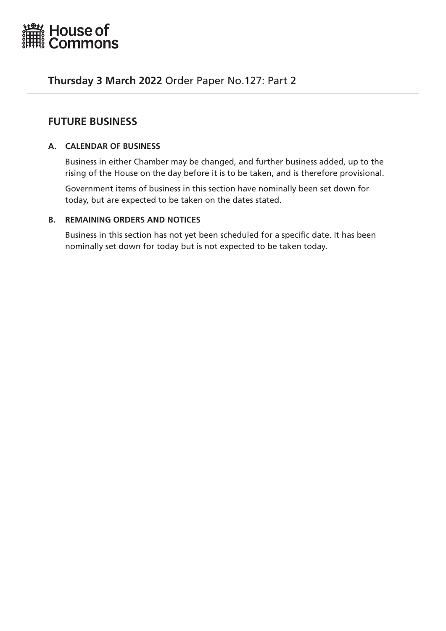<span id="page-12-0"></span>

# **Thursday 3 March 2022** Order Paper No.127: Part 2

# **FUTURE BUSINESS**

# **A. CALENDAR OF BUSINESS**

Business in either Chamber may be changed, and further business added, up to the rising of the House on the day before it is to be taken, and is therefore provisional.

Government items of business in this section have nominally been set down for today, but are expected to be taken on the dates stated.

# **B. REMAINING ORDERS AND NOTICES**

Business in this section has not yet been scheduled for a specific date. It has been nominally set down for today but is not expected to be taken today.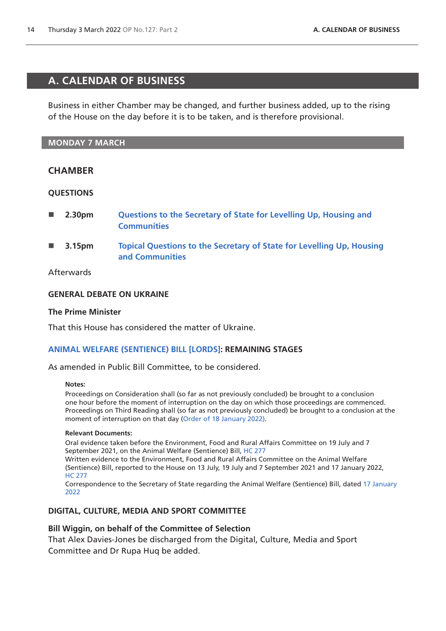# <span id="page-13-0"></span>**A. CALENDAR OF BUSINESS**

Business in either Chamber may be changed, and further business added, up to the rising of the House on the day before it is to be taken, and is therefore provisional.

## **MONDAY 7 MARCH**

# **CHAMBER**

## **QUESTIONS**

- **2.30pm [Questions to the Secretary of State for Levelling Up, Housing and](https://commonsbusiness.parliament.uk/document/54649/html#anchor-1)  [Communities](https://commonsbusiness.parliament.uk/document/54649/html#anchor-1)**
- **3.15pm [Topical Questions to the Secretary of State for Levelling Up, Housing](https://commonsbusiness.parliament.uk/document/54649/html#anchor-2)  [and Communities](https://commonsbusiness.parliament.uk/document/54649/html#anchor-2)**

# Afterwards

## **GENERAL DEBATE ON UKRAINE**

#### **The Prime Minister**

That this House has considered the matter of Ukraine.

## **[ANIMAL WELFARE \(SENTIENCE\) BILL \[LORDS\]](https://publications.parliament.uk/pa/bills/cbill/58-02/0255/210255.pdf): REMAINING STAGES**

As amended in Public Bill Committee, to be considered.

#### **Notes:**

Proceedings on Consideration shall (so far as not previously concluded) be brought to a conclusion one hour before the moment of interruption on the day on which those proceedings are commenced. Proceedings on Third Reading shall (so far as not previously concluded) be brought to a conclusion at the moment of interruption on that day ([Order of 18 January 2022\).](https://commonsbusiness.parliament.uk/document/53493/pdf)

#### **Relevant Documents:**

Oral evidence taken before the Environment, Food and Rural Affairs Committee on 19 July and 7 September 2021, on the Animal Welfare (Sentience) Bill, [HC 277](https://committees.parliament.uk/work/1274/animal-welfare-sentience-bill/publications/oral-evidence/)

Written evidence to the Environment, Food and Rural Affairs Committee on the Animal Welfare (Sentience) Bill, reported to the House on 13 July, 19 July and 7 September 2021 and 17 January 2022, [HC 277](https://committees.parliament.uk/work/1274/animal-welfare-sentience-bill/publications/written-evidence/)

Correspondence to the Secretary of State regarding the Animal Welfare (Sentience) Bill, dated [17 January](https://committees.parliament.uk/publications/8506/documents/86078/default/)  [2022](https://committees.parliament.uk/publications/8506/documents/86078/default/)

## **DIGITAL, CULTURE, MEDIA AND SPORT COMMITTEE**

## **Bill Wiggin, on behalf of the Committee of Selection**

That Alex Davies-Jones be discharged from the Digital, Culture, Media and Sport Committee and Dr Rupa Huq be added.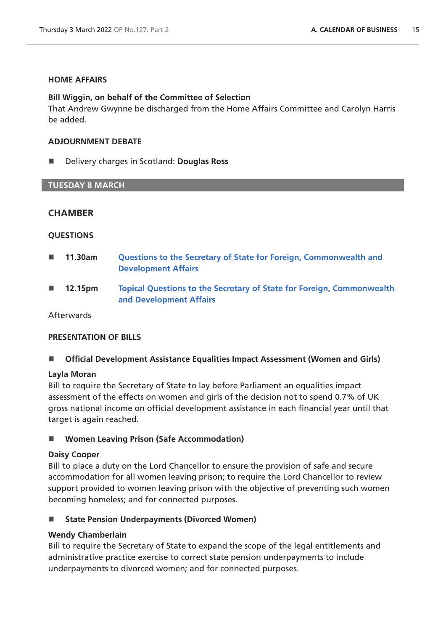## **HOME AFFAIRS**

# **Bill Wiggin, on behalf of the Committee of Selection**

That Andrew Gwynne be discharged from the Home Affairs Committee and Carolyn Harris be added.

# **ADJOURNMENT DEBATE**

■ **Delivery charges in Scotland: Douglas Ross** 

# **TUESDAY 8 MARCH**

# **CHAMBER**

# **QUESTIONS**

- **11.30am [Questions to the Secretary of State for Foreign, Commonwealth and](https://commonsbusiness.parliament.uk/document/54649/html#anchor-4)  [Development Affairs](https://commonsbusiness.parliament.uk/document/54649/html#anchor-4)**
- **12.15pm [Topical Questions to the Secretary of State for Foreign, Commonwealth](https://commonsbusiness.parliament.uk/document/54649/html#anchor-5)  [and Development Affairs](https://commonsbusiness.parliament.uk/document/54649/html#anchor-5)**

Afterwards

# **PRESENTATION OF BILLS**

■ **Official Development Assistance Equalities Impact Assessment (Women and Girls)** 

## **Layla Moran**

Bill to require the Secretary of State to lay before Parliament an equalities impact assessment of the effects on women and girls of the decision not to spend 0.7% of UK gross national income on official development assistance in each financial year until that target is again reached.

■ Women Leaving Prison (Safe Accommodation)

## **Daisy Cooper**

Bill to place a duty on the Lord Chancellor to ensure the provision of safe and secure accommodation for all women leaving prison; to require the Lord Chancellor to review support provided to women leaving prison with the objective of preventing such women becoming homeless; and for connected purposes.

# ■ State Pension Underpayments (Divorced Women)

# **Wendy Chamberlain**

Bill to require the Secretary of State to expand the scope of the legal entitlements and administrative practice exercise to correct state pension underpayments to include underpayments to divorced women; and for connected purposes.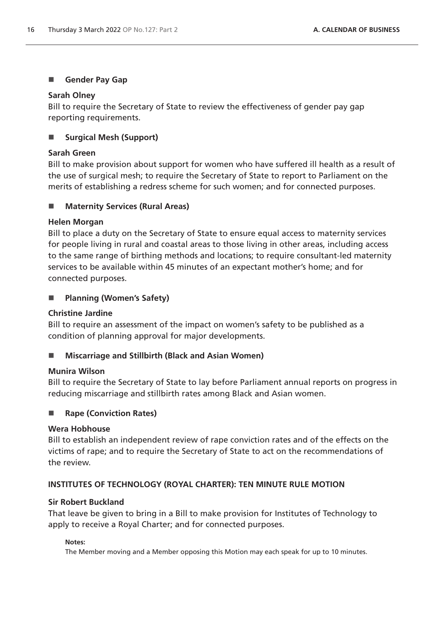# **Gender Pay Gap**

# **Sarah Olney**

Bill to require the Secretary of State to review the effectiveness of gender pay gap reporting requirements.

# ■ Surgical Mesh (Support)

# **Sarah Green**

Bill to make provision about support for women who have suffered ill health as a result of the use of surgical mesh; to require the Secretary of State to report to Parliament on the merits of establishing a redress scheme for such women; and for connected purposes.

# ■ Maternity Services (Rural Areas)

# **Helen Morgan**

Bill to place a duty on the Secretary of State to ensure equal access to maternity services for people living in rural and coastal areas to those living in other areas, including access to the same range of birthing methods and locations; to require consultant-led maternity services to be available within 45 minutes of an expectant mother's home; and for connected purposes.

# **Planning (Women's Safety)**

# **Christine Jardine**

Bill to require an assessment of the impact on women's safety to be published as a condition of planning approval for major developments.

# ■ Miscarriage and Stillbirth (Black and Asian Women)

## **Munira Wilson**

Bill to require the Secretary of State to lay before Parliament annual reports on progress in reducing miscarriage and stillbirth rates among Black and Asian women.

# ■ Rape (Conviction Rates)

# **Wera Hobhouse**

Bill to establish an independent review of rape conviction rates and of the effects on the victims of rape; and to require the Secretary of State to act on the recommendations of the review.

# **INSTITUTES OF TECHNOLOGY (ROYAL CHARTER): TEN MINUTE RULE MOTION**

## **Sir Robert Buckland**

That leave be given to bring in a Bill to make provision for Institutes of Technology to apply to receive a Royal Charter; and for connected purposes.

## **Notes:**

The Member moving and a Member opposing this Motion may each speak for up to 10 minutes.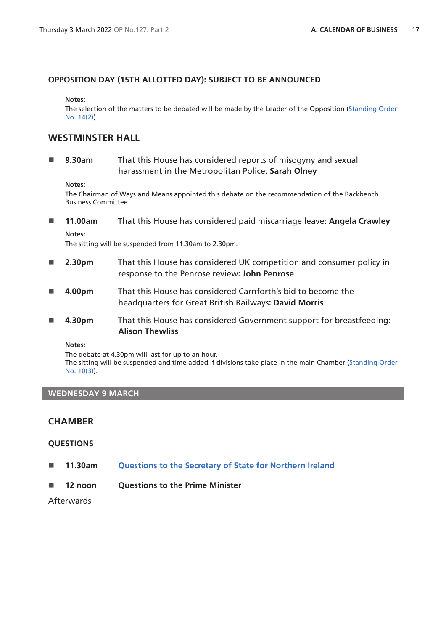## **OPPOSITION DAY (15TH ALLOTTED DAY): SUBJECT TO BE ANNOUNCED**

#### **Notes:**

The selection of the matters to be debated will be made by the Leader of the Opposition ([Standing Order](https://publications.parliament.uk/pa/cm5802/cmstords/so_804_2021/so-orders.html#so-14_2)  [No. 14\(2\)](https://publications.parliament.uk/pa/cm5802/cmstords/so_804_2021/so-orders.html#so-14_2)).

# **WESTMINSTER HALL**

 **9.30am** That this House has considered reports of misogyny and sexual harassment in the Metropolitan Police: **Sarah Olney**

#### **Notes:**

The Chairman of Ways and Means appointed this debate on the recommendation of the Backbench Business Committee.

 **11.00am** That this House has considered paid miscarriage leave**: Angela Crawley Notes:**

The sitting will be suspended from 11.30am to 2.30pm.

- **2.30pm** That this House has considered UK competition and consumer policy in response to the Penrose review**: John Penrose**
- **4.00pm** That this House has considered Carnforth's bid to become the headquarters for Great British Railways**: David Morris**
- **4.30pm** That this House has considered Government support for breastfeeding**: Alison Thewliss**

**Notes:**

The debate at 4.30pm will last for up to an hour. The sitting will be suspended and time added if divisions take place in the main Chamber [\(Standing Order](https://publications.parliament.uk/pa/cm5802/cmstords/so_804_2021/so-orders.html#so-10_3)  [No. 10\(3\)](https://publications.parliament.uk/pa/cm5802/cmstords/so_804_2021/so-orders.html#so-10_3)).

## **WEDNESDAY 9 MARCH**

# **CHAMBER**

#### **QUESTIONS**

- **11.30am [Questions to the Secretary of State for Northern Ireland](https://commonsbusiness.parliament.uk/document/54643/html#anchor-7)**
- **12 noon Questions to the Prime Minister**

Afterwards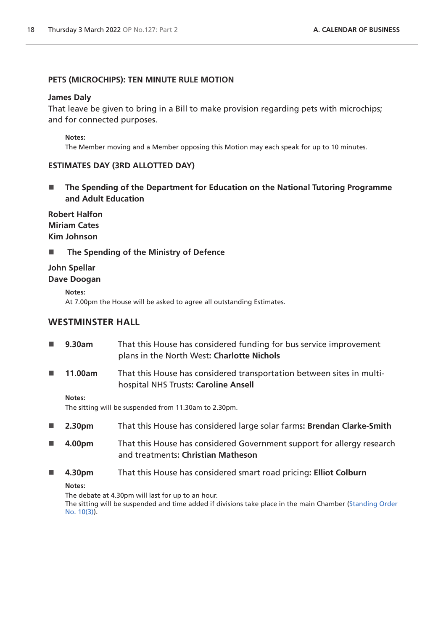## **PETS (MICROCHIPS): TEN MINUTE RULE MOTION**

#### **James Daly**

That leave be given to bring in a Bill to make provision regarding pets with microchips; and for connected purposes.

#### **Notes:**

The Member moving and a Member opposing this Motion may each speak for up to 10 minutes.

#### **ESTIMATES DAY (3RD ALLOTTED DAY)**

■ The Spending of the Department for Education on the National Tutoring Programme **and Adult Education**

**Robert Halfon Miriam Cates Kim Johnson**

■ The Spending of the Ministry of Defence

# **John Spellar Dave Doogan**

**Notes:**

At 7.00pm the House will be asked to agree all outstanding Estimates.

# **WESTMINSTER HALL**

| $\mathcal{L}_{\mathcal{A}}$ | 9.30am  | That this House has considered funding for bus service improvement<br>plans in the North West: Charlotte Nichols |
|-----------------------------|---------|------------------------------------------------------------------------------------------------------------------|
| <b>In the </b>              | 11.00am | That this House has considered transportation between sites in multi-<br>hospital NHS Trusts: Caroline Ansell    |
|                             | Notes:  | The sitting will be suspended from 11.30am to 2.30pm.                                                            |
| $\mathcal{L}_{\mathcal{A}}$ | 2.30pm  | That this House has considered large solar farms: Brendan Clarke-Smith                                           |
| <b>In the Second State</b>  | 4.00pm  | That this House has considered Government support for allergy research<br>and treatments: Christian Matheson     |
| <b>In the </b>              | 4.30pm  | That this House has considered smart road pricing: Elliot Colburn                                                |

**Notes:**

The debate at 4.30pm will last for up to an hour.

The sitting will be suspended and time added if divisions take place in the main Chamber [\(Standing Order](https://publications.parliament.uk/pa/cm5802/cmstords/so_804_2021/so-orders.html#so-10_3)  [No. 10\(3\)](https://publications.parliament.uk/pa/cm5802/cmstords/so_804_2021/so-orders.html#so-10_3)).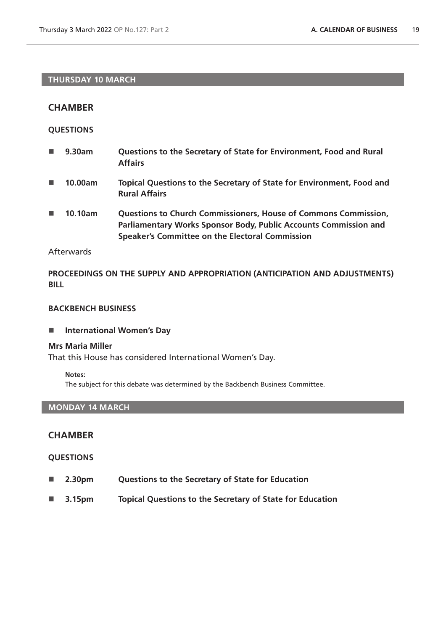# **THURSDAY 10 MARCH**

# **CHAMBER**

## **QUESTIONS**

| <b>The Contract</b> | 9.30am | Questions to the Secretary of State for Environment, Food and Rural |
|---------------------|--------|---------------------------------------------------------------------|
|                     |        | <b>Affairs</b>                                                      |
|                     |        |                                                                     |

- **10.00am Topical Questions to the Secretary of State for Environment, Food and Rural Affairs**
- 10.10am **Questions to Church Commissioners, House of Commons Commission, Parliamentary Works Sponsor Body, Public Accounts Commission and Speaker's Committee on the Electoral Commission**

# **Afterwards**

**PROCEEDINGS ON THE SUPPLY AND APPROPRIATION (ANTICIPATION AND ADJUSTMENTS) BILL**

#### **BACKBENCH BUSINESS**

**International Women's Day**

#### **Mrs Maria Miller**

That this House has considered International Women's Day.

#### **Notes:**

The subject for this debate was determined by the Backbench Business Committee.

## **MONDAY 14 MARCH**

# **CHAMBER**

- **2.30pm Questions to the Secretary of State for Education**
- **3.15pm Topical Questions to the Secretary of State for Education**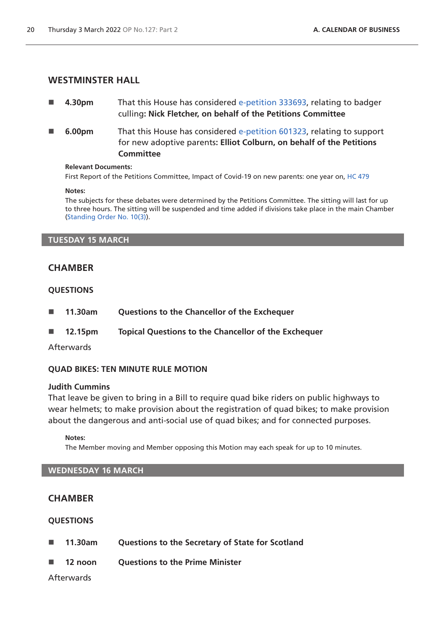## **WESTMINSTER HALL**

- **4.30pm** That this House has considered [e-petition 333693](https://petition.parliament.uk/petitions/333693), relating to badger culling**: Nick Fletcher, on behalf of the Petitions Committee**
- **6.00pm** That this House has considered [e-petition 601323](https://petition.parliament.uk/petitions/601323), relating to support for new adoptive parents**: Elliot Colburn, on behalf of the Petitions Committee**

#### **Relevant Documents:**

First Report of the Petitions Committee, Impact of Covid-19 on new parents: one year on, [HC 479](https://committees.parliament.uk/publications/7477/documents/78447/default/)

#### **Notes:**

The subjects for these debates were determined by the Petitions Committee. The sitting will last for up to three hours. The sitting will be suspended and time added if divisions take place in the main Chamber [\(Standing Order No. 10\(3\)](https://publications.parliament.uk/pa/cm5802/cmstords/so_804_2021/so-orders.html#so-10_3)).

#### **TUESDAY 15 MARCH**

# **CHAMBER**

## **QUESTIONS**

- **11.30am Questions to the Chancellor of the Exchequer**
- **12.15pm Topical Questions to the Chancellor of the Exchequer**

## Afterwards

# **QUAD BIKES: TEN MINUTE RULE MOTION**

#### **Judith Cummins**

That leave be given to bring in a Bill to require quad bike riders on public highways to wear helmets; to make provision about the registration of quad bikes; to make provision about the dangerous and anti-social use of quad bikes; and for connected purposes.

#### **Notes:**

The Member moving and Member opposing this Motion may each speak for up to 10 minutes.

## **WEDNESDAY 16 MARCH**

# **CHAMBER**

# **QUESTIONS**

- **11.30am Questions to the Secretary of State for Scotland**
- **12 noon Questions to the Prime Minister**

# Afterwards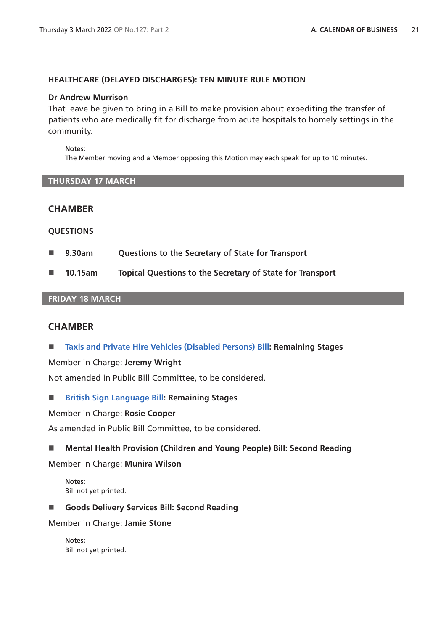## **HEALTHCARE (DELAYED DISCHARGES): TEN MINUTE RULE MOTION**

#### **Dr Andrew Murrison**

That leave be given to bring in a Bill to make provision about expediting the transfer of patients who are medically fit for discharge from acute hospitals to homely settings in the community.

#### **Notes:**

The Member moving and a Member opposing this Motion may each speak for up to 10 minutes.

#### **THURSDAY 17 MARCH**

# **CHAMBER**

#### **QUESTIONS**

- **9.30am Questions to the Secretary of State for Transport**
- **10.15am Topical Questions to the Secretary of State for Transport**

## **FRIDAY 18 MARCH**

# **CHAMBER**

**[Taxis and Private Hire Vehicles \(Disabled Persons\) Bill](https://publications.parliament.uk/pa/bills/cbill/58-02/0030/210030.pdf): Remaining Stages**

Member in Charge: **Jeremy Wright**

Not amended in Public Bill Committee, to be considered.

**[British Sign Language Bill](https://publications.parliament.uk/pa/bills/cbill/58-02/0260/210260.pdf): Remaining Stages**

Member in Charge: **Rosie Cooper**

As amended in Public Bill Committee, to be considered.

#### **Mental Health Provision (Children and Young People) Bill: Second Reading**

Member in Charge: **Munira Wilson**

**Notes:** Bill not yet printed.

**Goods Delivery Services Bill: Second Reading**

Member in Charge: **Jamie Stone**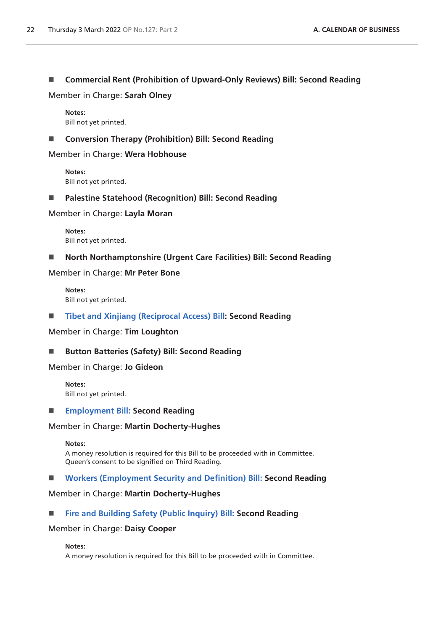# **Commercial Rent (Prohibition of Upward-Only Reviews) Bill: Second Reading**

Member in Charge: **Sarah Olney**

**Notes:** Bill not yet printed.

## ■ Conversion Therapy (Prohibition) Bill: Second Reading

Member in Charge: **Wera Hobhouse**

**Notes:** Bill not yet printed.

## **Palestine Statehood (Recognition) Bill: Second Reading**

Member in Charge: **Layla Moran**

**Notes:** Bill not yet printed.

**North Northamptonshire (Urgent Care Facilities) Bill: Second Reading**

Member in Charge: **Mr Peter Bone**

**Notes:** Bill not yet printed.

## **[Tibet and Xinjiang \(Reciprocal Access\) Bill](https://publications.parliament.uk/pa/bills/cbill/58-02/0148/210148.pdf): Second Reading**

Member in Charge: **Tim Loughton**

## ■ Button Batteries (Safety) Bill: Second Reading

Member in Charge: **Jo Gideon**

**Notes:** Bill not yet printed.

#### **[Employment Bill:](https://publications.parliament.uk/pa/bills/cbill/58-02/0045/21045.pdf) Second Reading**

#### Member in Charge: **Martin Docherty-Hughes**

**Notes:**

A money resolution is required for this Bill to be proceeded with in Committee. Queen's consent to be signified on Third Reading.

#### **[Workers \(Employment Security and Definition\) Bill:](https://publications.parliament.uk/pa/bills/cbill/58-02/0109/21109.pdf) Second Reading**

#### Member in Charge: **Martin Docherty-Hughes**

## **[Fire and Building Safety \(Public Inquiry\) Bill:](https://publications.parliament.uk/pa/bills/cbill/58-02/0142/210142.pdf) Second Reading**

## Member in Charge: **Daisy Cooper**

**Notes:**

A money resolution is required for this Bill to be proceeded with in Committee.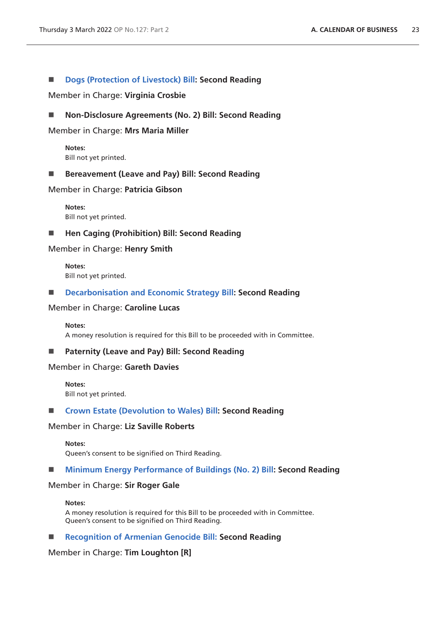## ■ **[Dogs \(Protection of Livestock\) Bill](https://publications.parliament.uk/pa/bills/cbill/58-02/0151/210151.pdf): Second Reading**

Member in Charge: **Virginia Crosbie**

#### ■ Non-Disclosure Agreements (No. 2) Bill: Second Reading

#### Member in Charge: **Mrs Maria Miller**

**Notes:** Bill not yet printed.

#### ■ Bereavement (Leave and Pay) Bill: Second Reading

#### Member in Charge: **Patricia Gibson**

**Notes:** Bill not yet printed.

#### ■ Hen Caging (Prohibition) Bill: Second Reading

#### Member in Charge: **Henry Smith**

**Notes:** Bill not yet printed.

#### **[Decarbonisation and Economic Strategy Bill:](https://publications.parliament.uk/pa/bills/cbill/58-02/0172/210172.pdf) Second Reading**

#### Member in Charge: **Caroline Lucas**

#### **Notes:**

A money resolution is required for this Bill to be proceeded with in Committee.

## **Paternity (Leave and Pay) Bill: Second Reading**

## Member in Charge: **Gareth Davies**

**Notes:** Bill not yet printed.

#### **[Crown Estate \(Devolution to Wales\) Bill:](https://publications.parliament.uk/pa/bills/cbill/58-02/0067/210067.pdf) Second Reading**

#### Member in Charge: **Liz Saville Roberts**

**Notes:**

Queen's consent to be signified on Third Reading.

#### **[Minimum Energy Performance of Buildings \(No. 2\) Bill](https://publications.parliament.uk/pa/bills/cbill/58-02/0150/210150.pdf): Second Reading**

#### Member in Charge: **Sir Roger Gale**

#### **Notes:**

A money resolution is required for this Bill to be proceeded with in Committee. Queen's consent to be signified on Third Reading.

#### **[Recognition of Armenian Genocide Bill: S](https://publications.parliament.uk/pa/bills/cbill/58-02/0190/210190.pdf)econd Reading**

#### Member in Charge: **Tim Loughton [R]**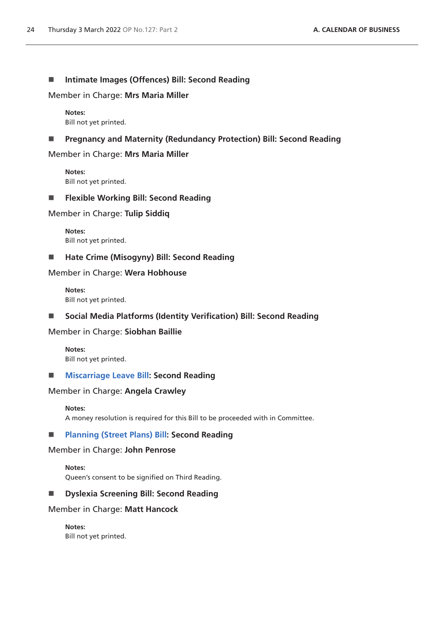## ■ Intimate Images (Offences) Bill: Second Reading

Member in Charge: **Mrs Maria Miller**

**Notes:** Bill not yet printed.

## **Pregnancy and Maternity (Redundancy Protection) Bill: Second Reading**

Member in Charge: **Mrs Maria Miller**

**Notes:** Bill not yet printed.

#### **Flexible Working Bill: Second Reading**

Member in Charge: **Tulip Siddiq**

**Notes:** Bill not yet printed.

# **Hate Crime (Misogyny) Bill: Second Reading**

Member in Charge: **Wera Hobhouse**

**Notes:** Bill not yet printed.

# **Social Media Platforms (Identity Verification) Bill: Second Reading**

Member in Charge: **Siobhan Baillie**

**Notes:** Bill not yet printed.

#### **[Miscarriage Leave Bill:](https://publications.parliament.uk/pa/bills/cbill/58-02/0066/210066.pdf) Second Reading**

#### Member in Charge: **Angela Crawley**

#### **Notes:**

A money resolution is required for this Bill to be proceeded with in Committee.

## **[Planning \(Street Plans\) Bill:](https://publications.parliament.uk/pa/bills/cbill/58-02/0161/210161.pdf) Second Reading**

#### Member in Charge: **John Penrose**

**Notes:** Queen's consent to be signified on Third Reading.

## **Dyslexia Screening Bill: Second Reading**

#### Member in Charge: **Matt Hancock**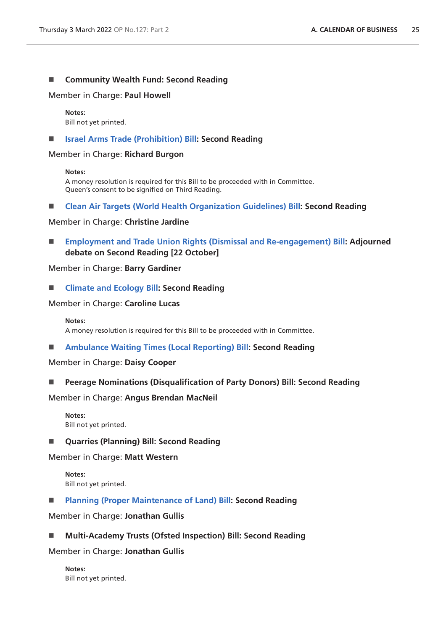#### **Community Wealth Fund: Second Reading**

Member in Charge: **Paul Howell**

**Notes:** Bill not yet printed.

#### **[Israel Arms Trade \(Prohibition\) Bill](https://publications.parliament.uk/pa/bills/cbill/58-02/0144/210144.pdf): Second Reading**

Member in Charge: **Richard Burgon**

#### **Notes:**

A money resolution is required for this Bill to be proceeded with in Committee. Queen's consent to be signified on Third Reading.

**[Clean Air Targets \(World Health Organization Guidelines\) Bill](https://publications.parliament.uk/pa/bills/cbill/58-02/0052/210052.pdf): Second Reading**

Member in Charge: **Christine Jardine**

 **[Employment and Trade Union Rights \(Dismissal and Re-engagement\) Bill:](https://publications.parliament.uk/pa/bills/cbill/58-02/0015/210015.pdf) Adjourned debate on Second Reading [22 October]**

#### Member in Charge: **Barry Gardiner**

**[Climate and Ecology Bill](https://publications.parliament.uk/pa/bills/cbill/58-02/0061/21061.pdf): Second Reading**

Member in Charge: **Caroline Lucas**

#### **Notes:**

A money resolution is required for this Bill to be proceeded with in Committee.

**[Ambulance Waiting Times \(Local Reporting\) Bill:](https://publications.parliament.uk/pa/bills/cbill/58-02/0209/210209.pdf) Second Reading**

Member in Charge: **Daisy Cooper**

**Peerage Nominations (Disqualification of Party Donors) Bill: Second Reading**

Member in Charge: **Angus Brendan MacNeil**

- **Notes:** Bill not yet printed.
- **Quarries (Planning) Bill: Second Reading**

Member in Charge: **Matt Western**

**Notes:** Bill not yet printed.

**[Planning \(Proper Maintenance of Land\) Bill](https://publications.parliament.uk/pa/bills/cbill/58-02/0130/210130.pdf): Second Reading**

Member in Charge: **Jonathan Gullis**

**Multi-Academy Trusts (Ofsted Inspection) Bill: Second Reading**

Member in Charge: **Jonathan Gullis**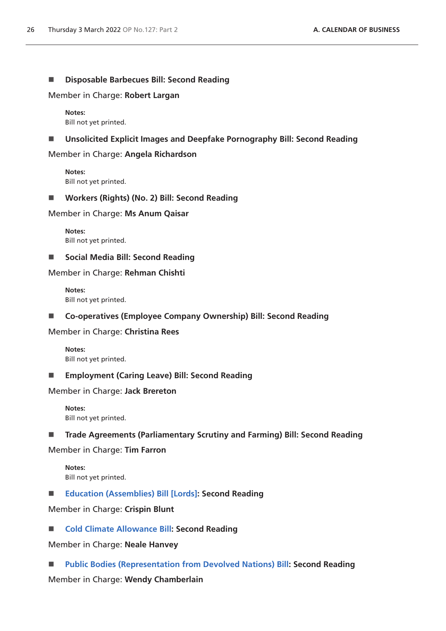## **Disposable Barbecues Bill: Second Reading**

Member in Charge: **Robert Largan**

**Notes:** Bill not yet printed.

**Unsolicited Explicit Images and Deepfake Pornography Bill: Second Reading**

Member in Charge: **Angela Richardson**

**Notes:** Bill not yet printed.

**Workers (Rights) (No. 2) Bill: Second Reading**

Member in Charge: **Ms Anum Qaisar**

**Notes:** Bill not yet printed.

■ Social Media Bill: Second Reading

Member in Charge: **Rehman Chishti**

**Notes:** Bill not yet printed.

**Co-operatives (Employee Company Ownership) Bill: Second Reading**

Member in Charge: **Christina Rees**

**Notes:** Bill not yet printed.

**Employment (Caring Leave) Bill: Second Reading**

Member in Charge: **Jack Brereton**

**Notes:** Bill not yet printed.

**Trade Agreements (Parliamentary Scrutiny and Farming) Bill: Second Reading**

Member in Charge: **Tim Farron**

**Notes:** Bill not yet printed.

**[Education \(Assemblies\) Bill \[Lords\]](https://publications.parliament.uk/pa/bills/cbill/58-02/0216/210216v1.pdf): Second Reading**

Member in Charge: **Crispin Blunt**

■ **[Cold Climate Allowance Bill:](https://publications.parliament.uk/pa/bills/cbill/58-02/0218/210218.pdf) Second Reading** 

Member in Charge: **Neale Hanvey**

**[Public Bodies \(Representation from Devolved Nations\) Bill:](https://publications.parliament.uk/pa/bills/cbill/58-02/0050/210050.pdf) Second Reading**

Member in Charge: **Wendy Chamberlain**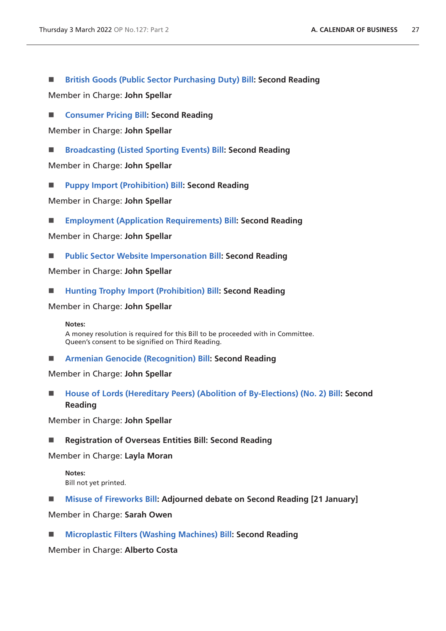**[British Goods \(Public Sector Purchasing Duty\) Bill:](https://publications.parliament.uk/pa/bills/cbill/58-02/0043/210043.pdf) Second Reading**

Member in Charge: **John Spellar**

■ **[Consumer Pricing Bill:](https://publications.parliament.uk/pa/bills/cbill/58-02/0084/210084.pdf) Second Reading** 

Member in Charge: **John Spellar**

**[Broadcasting \(Listed Sporting Events\) Bill:](https://publications.parliament.uk/pa/bills/cbill/58-02/0085/210085.pdf) Second Reading**

Member in Charge: **John Spellar**

**[Puppy Import \(Prohibition\) Bill:](https://publications.parliament.uk/pa/bills/cbill/58-02/0086/210086.pdf) Second Reading**

Member in Charge: **John Spellar**

**[Employment \(Application Requirements\) Bill](https://publications.parliament.uk/pa/bills/cbill/58-02/0087/210087.pdf): Second Reading**

Member in Charge: **John Spellar**

**[Public Sector Website Impersonation Bill](https://bills.parliament.uk/publications/43648/documents/954): Second Reading**

Member in Charge: **John Spellar**

**[Hunting Trophy Import \(Prohibition\) Bill](https://publications.parliament.uk/pa/bills/cbill/58-02/0089/210089.pdf): Second Reading**

Member in Charge: **John Spellar**

**Notes:**

A money resolution is required for this Bill to be proceeded with in Committee. Queen's consent to be signified on Third Reading.

**[Armenian Genocide \(Recognition\) Bill](https://publications.parliament.uk/pa/bills/cbill/58-02/0090/210090.pdf): Second Reading**

Member in Charge: **John Spellar**

■ [House of Lords \(Hereditary Peers\) \(Abolition of By-Elections\) \(No. 2\) Bill:](https://publications.parliament.uk/pa/bills/cbill/58-02/0091/210091.pdf) Second **Reading**

Member in Charge: **John Spellar**

**Registration of Overseas Entities Bill: Second Reading**

Member in Charge: **Layla Moran**

**Notes:** Bill not yet printed.

**[Misuse of Fireworks Bill:](https://publications.parliament.uk/pa/bills/cbill/58-02/0156/210156.pdf) Adjourned debate on Second Reading [21 January]**

Member in Charge: **Sarah Owen**

**[Microplastic Filters \(Washing Machines\) Bill](https://publications.parliament.uk/pa/bills/cbill/58-02/0205/210205.pdf): Second Reading**

Member in Charge: **Alberto Costa**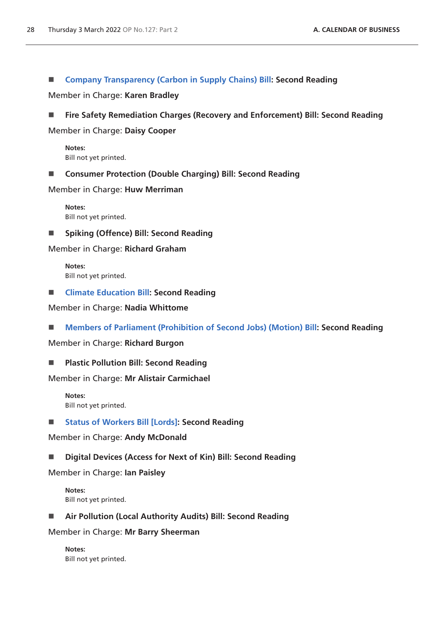# ■ [Company Transparency \(Carbon in Supply Chains\) Bill](https://publications.parliament.uk/pa/bills/cbill/58-02/0169/210169.pdf): Second Reading

Member in Charge: **Karen Bradley**

**Fire Safety Remediation Charges (Recovery and Enforcement) Bill: Second Reading**

Member in Charge: **Daisy Cooper**

**Notes:** Bill not yet printed.

## ■ Consumer Protection (Double Charging) Bill: Second Reading

Member in Charge: **Huw Merriman**

**Notes:** Bill not yet printed.

**Spiking (Offence) Bill: Second Reading**

Member in Charge: **Richard Graham**

**Notes:** Bill not yet printed.

**[Climate Education Bill](https://publications.parliament.uk/pa/bills/cbill/58-02/0197/210197.pdf): Second Reading**

Member in Charge: **Nadia Whittome**

**[Members of Parliament \(Prohibition of Second Jobs\) \(Motion\) Bill:](https://publications.parliament.uk/pa/bills/cbill/58-02/0201/210201.pdf) Second Reading**

Member in Charge: **Richard Burgon**

**Plastic Pollution Bill: Second Reading**

Member in Charge: **Mr Alistair Carmichael**

**Notes:** Bill not yet printed.

## ■ **[Status of Workers Bill \[Lords\]:](https://publications.parliament.uk/pa/bills/cbill/58-02/0242/220131.pdf) Second Reading**

Member in Charge: **Andy McDonald**

## **Digital Devices (Access for Next of Kin) Bill: Second Reading**

Member in Charge: **Ian Paisley**

**Notes:** Bill not yet printed.

**Air Pollution (Local Authority Audits) Bill: Second Reading**

Member in Charge: **Mr Barry Sheerman**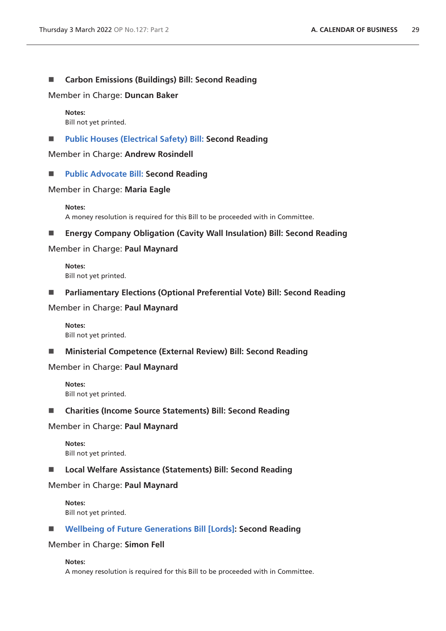#### **Carbon Emissions (Buildings) Bill: Second Reading**

Member in Charge: **Duncan Baker**

# **Notes:**

Bill not yet printed.

**[Public Houses \(Electrical Safety\) Bill:](https://publications.parliament.uk/pa/bills/cbill/58-02/0181/210181.pdf) Second Reading**

Member in Charge: **Andrew Rosindell**

**[Public Advocate Bill:](https://publications.parliament.uk/pa/bills/cbill/58-02/0047/21047.pdf) Second Reading**

#### Member in Charge: **Maria Eagle**

#### **Notes:**

A money resolution is required for this Bill to be proceeded with in Committee.

# **Energy Company Obligation (Cavity Wall Insulation) Bill: Second Reading**

#### Member in Charge: **Paul Maynard**

**Notes:** Bill not yet printed.

**Parliamentary Elections (Optional Preferential Vote) Bill: Second Reading**

#### Member in Charge: **Paul Maynard**

**Notes:** Bill not yet printed.

**Ministerial Competence (External Review) Bill: Second Reading**

## Member in Charge: **Paul Maynard**

**Notes:** Bill not yet printed.

#### **Charities (Income Source Statements) Bill: Second Reading**

#### Member in Charge: **Paul Maynard**

**Notes:** Bill not yet printed.

#### ■ Local Welfare Assistance (Statements) Bill: Second Reading

#### Member in Charge: **Paul Maynard**

**Notes:** Bill not yet printed.

## **[Wellbeing of Future Generations Bill \[Lords\]](https://publications.parliament.uk/pa/bills/cbill/58-02/0253/210253.pdf): Second Reading**

#### Member in Charge: **Simon Fell**

#### **Notes:**

A money resolution is required for this Bill to be proceeded with in Committee.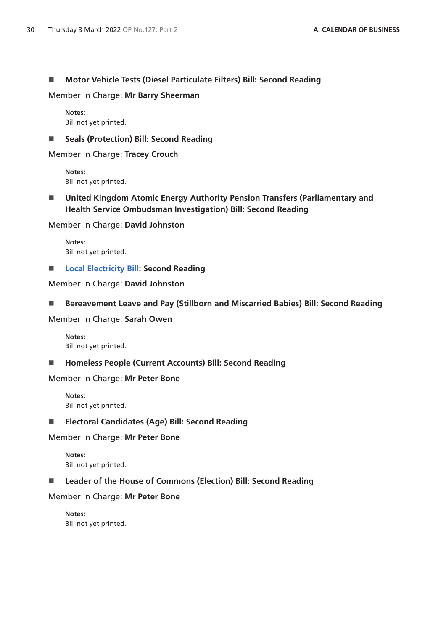**Motor Vehicle Tests (Diesel Particulate Filters) Bill: Second Reading**

Member in Charge: **Mr Barry Sheerman**

**Notes:** Bill not yet printed.

■ Seals (Protection) Bill: Second Reading

Member in Charge: **Tracey Crouch**

**Notes:** Bill not yet printed.

 **United Kingdom Atomic Energy Authority Pension Transfers (Parliamentary and Health Service Ombudsman Investigation) Bill: Second Reading**

Member in Charge: **David Johnston**

**Notes:** Bill not yet printed.

**[Local Electricity Bill](https://publications.parliament.uk/pa/bills/cbill/58-02/0154/210154.pdf): Second Reading**

Member in Charge: **David Johnston**

■ Bereavement Leave and Pay (Stillborn and Miscarried Babies) Bill: Second Reading

Member in Charge: **Sarah Owen**

**Notes:** Bill not yet printed.

**Homeless People (Current Accounts) Bill: Second Reading**

Member in Charge: **Mr Peter Bone**

**Notes:** Bill not yet printed.

**Electoral Candidates (Age) Bill: Second Reading**

Member in Charge: **Mr Peter Bone**

**Notes:** Bill not yet printed.

■ Leader of the House of Commons (Election) Bill: Second Reading

Member in Charge: **Mr Peter Bone**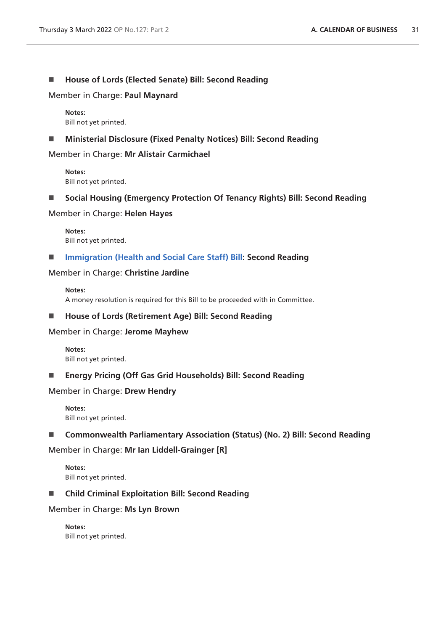## ■ House of Lords (Elected Senate) Bill: Second Reading

Member in Charge: **Paul Maynard**

**Notes:** Bill not yet printed.

**Ministerial Disclosure (Fixed Penalty Notices) Bill: Second Reading**

Member in Charge: **Mr Alistair Carmichael**

**Notes:** Bill not yet printed.

**Social Housing (Emergency Protection Of Tenancy Rights) Bill: Second Reading**

Member in Charge: **Helen Hayes**

**Notes:** Bill not yet printed.

**[Immigration \(Health and Social Care Staff\) Bill:](https://publications.parliament.uk/pa/bills/cbill/58-02/0123/210123.pdf) Second Reading**

Member in Charge: **Christine Jardine**

**Notes:** A money resolution is required for this Bill to be proceeded with in Committee.

■ House of Lords (Retirement Age) Bill: Second Reading

Member in Charge: **Jerome Mayhew**

**Notes:** Bill not yet printed.

**Energy Pricing (Off Gas Grid Households) Bill: Second Reading**

Member in Charge: **Drew Hendry**

**Notes:** Bill not yet printed.

■ Commonwealth Parliamentary Association (Status) (No. 2) Bill: Second Reading

Member in Charge: **Mr Ian Liddell-Grainger [R]**

**Notes:** Bill not yet printed.

**Child Criminal Exploitation Bill: Second Reading**

Member in Charge: **Ms Lyn Brown**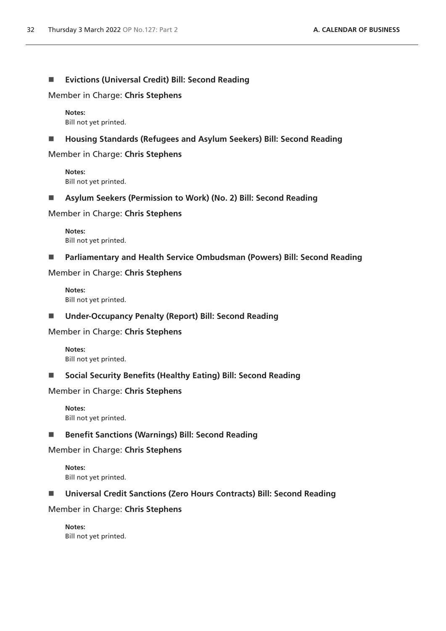## **Evictions (Universal Credit) Bill: Second Reading**

Member in Charge: **Chris Stephens**

**Notes:** Bill not yet printed.

**Housing Standards (Refugees and Asylum Seekers) Bill: Second Reading**

Member in Charge: **Chris Stephens**

**Notes:** Bill not yet printed.

**Asylum Seekers (Permission to Work) (No. 2) Bill: Second Reading**

Member in Charge: **Chris Stephens**

**Notes:** Bill not yet printed.

**Parliamentary and Health Service Ombudsman (Powers) Bill: Second Reading**

Member in Charge: **Chris Stephens**

**Notes:** Bill not yet printed.

**Under-Occupancy Penalty (Report) Bill: Second Reading**

Member in Charge: **Chris Stephens**

**Notes:** Bill not yet printed.

**Social Security Benefits (Healthy Eating) Bill: Second Reading**

Member in Charge: **Chris Stephens**

**Notes:** Bill not yet printed.

■ Benefit Sanctions (Warnings) Bill: Second Reading

Member in Charge: **Chris Stephens**

**Notes:** Bill not yet printed.

**Universal Credit Sanctions (Zero Hours Contracts) Bill: Second Reading**

Member in Charge: **Chris Stephens**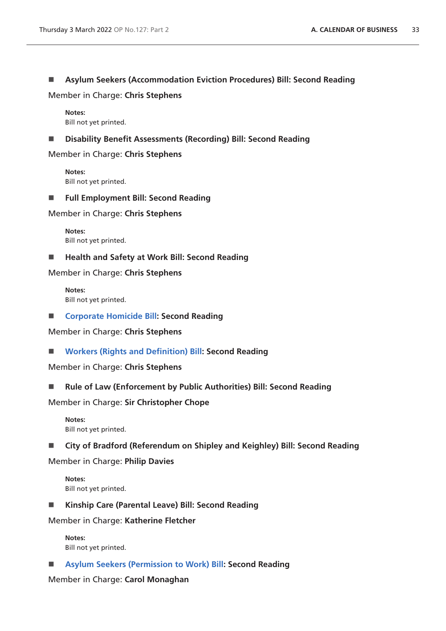# **Asylum Seekers (Accommodation Eviction Procedures) Bill: Second Reading**

Member in Charge: **Chris Stephens**

**Notes:** Bill not yet printed.

**Disability Benefit Assessments (Recording) Bill: Second Reading**

Member in Charge: **Chris Stephens**

**Notes:** Bill not yet printed.

**Full Employment Bill: Second Reading**

Member in Charge: **Chris Stephens**

**Notes:** Bill not yet printed.

■ Health and Safety at Work Bill: Second Reading

Member in Charge: **Chris Stephens**

**Notes:** Bill not yet printed.

■ **[Corporate Homicide Bill](https://publications.parliament.uk/pa/bills/cbill/58-02/0046/210046.pdf): Second Reading** 

Member in Charge: **Chris Stephens**

**[Workers \(Rights and Definition\) Bill:](https://publications.parliament.uk/pa/bills/cbill/58-02/0110/210110.pdf) Second Reading**

Member in Charge: **Chris Stephens**

■ Rule of Law (Enforcement by Public Authorities) Bill: Second Reading

Member in Charge: **Sir Christopher Chope**

- **Notes:** Bill not yet printed.
- **City of Bradford (Referendum on Shipley and Keighley) Bill: Second Reading**

Member in Charge: **Philip Davies**

**Notes:** Bill not yet printed.

**Kinship Care (Parental Leave) Bill: Second Reading**

Member in Charge: **Katherine Fletcher**

**Notes:** Bill not yet printed.

**[Asylum Seekers \(Permission to Work\) Bill](https://publications.parliament.uk/pa/bills/cbill/58-02/0036/210036.pdf): Second Reading**

Member in Charge: **Carol Monaghan**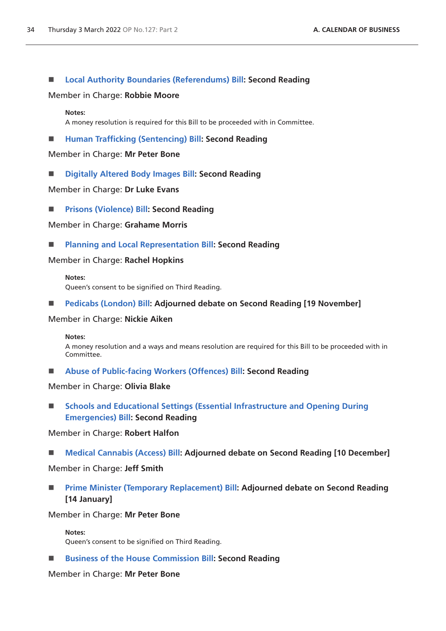## **[Local Authority Boundaries \(Referendums\) Bill](https://publications.parliament.uk/pa/bills/cbill/58-02/0040/210040.pdf): Second Reading**

#### Member in Charge: **Robbie Moore**

#### **Notes:**

A money resolution is required for this Bill to be proceeded with in Committee.

#### **[Human Trafficking \(Sentencing\) Bill:](https://publications.parliament.uk/pa/bills/cbill/58-02/0081/210081.pdf) Second Reading**

Member in Charge: **Mr Peter Bone**

**[Digitally Altered Body Images Bill:](https://publications.parliament.uk/pa/bills/cbill/58-02/0227/210227.pdf) Second Reading**

Member in Charge: **Dr Luke Evans**

**[Prisons \(Violence\) Bill](https://publications.parliament.uk/pa/bills/cbill/58-02/0233/210233.pdf): Second Reading**

Member in Charge: **Grahame Morris**

**[Planning and Local Representation Bill:](https://publications.parliament.uk/pa/bills/cbill/58-02/0147/210147.pdf) Second Reading**

Member in Charge: **Rachel Hopkins**

**Notes:** Queen's consent to be signified on Third Reading.

**[Pedicabs \(London\) Bill](https://publications.parliament.uk/pa/bills/cbill/58-02/0058/210058.pdf): Adjourned debate on Second Reading [19 November]**

#### Member in Charge: **Nickie Aiken**

#### **Notes:**

A money resolution and a ways and means resolution are required for this Bill to be proceeded with in Committee.

**[Abuse of Public-facing Workers \(Offences\) Bill:](https://publications.parliament.uk/pa/bills/cbill/58-02/0163/220163.pdf) Second Reading**

#### Member in Charge: **Olivia Blake**

 **[Schools and Educational Settings \(Essential Infrastructure and Opening During](https://publications.parliament.uk/pa/bills/cbill/58-02/0186/210186.pdf)  [Emergencies\) Bill](https://publications.parliament.uk/pa/bills/cbill/58-02/0186/210186.pdf): Second Reading**

Member in Charge: **Robert Halfon**

■ **[Medical Cannabis \(Access\) Bill](https://publications.parliament.uk/pa/bills/cbill/58-02/0020/210020.pdf): Adjourned debate on Second Reading [10 December]** 

## Member in Charge: **Jeff Smith**

 **[Prime Minister \(Temporary Replacement\) Bill](https://publications.parliament.uk/pa/bills/cbill/58-02/0042/210042.pdf): Adjourned debate on Second Reading [14 January]**

#### Member in Charge: **Mr Peter Bone**

**Notes:** Queen's consent to be signified on Third Reading.

## **[Business of the House Commission Bill](https://publications.parliament.uk/pa/bills/cbill/58-02/0078/210078.pdf): Second Reading**

#### Member in Charge: **Mr Peter Bone**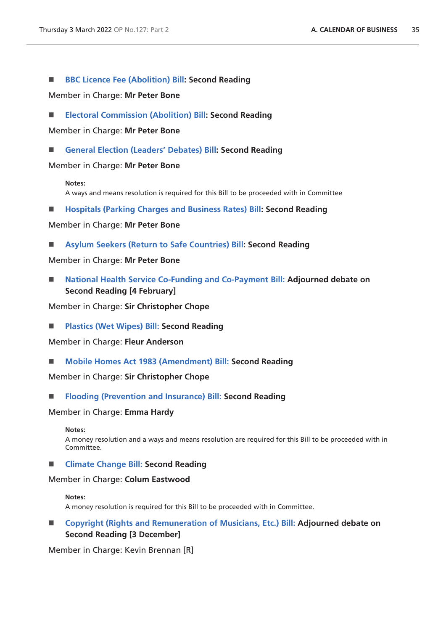■ **[BBC Licence Fee \(Abolition\) Bill:](https://publications.parliament.uk/pa/bills/cbill/58-02/0080/210080.pdf) Second Reading** 

Member in Charge: **Mr Peter Bone**

**[Electoral Commission \(Abolition\) Bill:](https://publications.parliament.uk/pa/bills/cbill/58-02/0069/210069.pdf) Second Reading**

Member in Charge: **Mr Peter Bone**

**[General Election \(Leaders' Debates\) Bill:](https://publications.parliament.uk/pa/bills/cbill/58-02/0072/210072.pdf) Second Reading**

#### Member in Charge: **Mr Peter Bone**

**Notes:**

A ways and means resolution is required for this Bill to be proceeded with in Committee

**[Hospitals \(Parking Charges and Business Rates\) Bill:](https://publications.parliament.uk/pa/bills/cbill/58-02/0070/210070.pdf) Second Reading**

Member in Charge: **Mr Peter Bone**

**[Asylum Seekers \(Return to Safe Countries\) Bill:](https://publications.parliament.uk/pa/bills/cbill/58-02/0079/210079.pdf) Second Reading**

Member in Charge: **Mr Peter Bone**

■ [National Health Service Co-Funding and Co-Payment Bill:](https://publications.parliament.uk/pa/bills/cbill/58-02/0105/220131.pdf) Adjourned debate on **Second Reading [4 February]**

Member in Charge: **Sir Christopher Chope**

**[Plastics \(Wet Wipes\) Bill:](https://publications.parliament.uk/pa/bills/cbill/58-02/0182/210182.pdf) Second Reading**

Member in Charge: **Fleur Anderson**

**[Mobile Homes Act 1983 \(Amendment\) Bill: S](https://publications.parliament.uk/pa/bills/cbill/58-02/0102/210102.pdf)econd Reading**

Member in Charge: **Sir Christopher Chope**

**[Flooding \(Prevention and Insurance\) Bill:](https://publications.parliament.uk/pa/bills/cbill/58-02/0191/210191.pdf) Second Reading**

#### Member in Charge: **Emma Hardy**

**Notes:**

A money resolution and a ways and means resolution are required for this Bill to be proceeded with in Committee.

**[Climate Change Bill:](https://publications.parliament.uk/pa/bills/cbill/58-02/0021/210021.pdf) Second Reading**

#### Member in Charge: **Colum Eastwood**

#### **Notes:**

A money resolution is required for this Bill to be proceeded with in Committee.

■ [Copyright \(Rights and Remuneration of Musicians, Etc.\) Bill:](https://publications.parliament.uk/pa/bills/cbill/58-02/0019/210019.pdf) Adiourned debate on **Second Reading [3 December]**

Member in Charge: Kevin Brennan [R]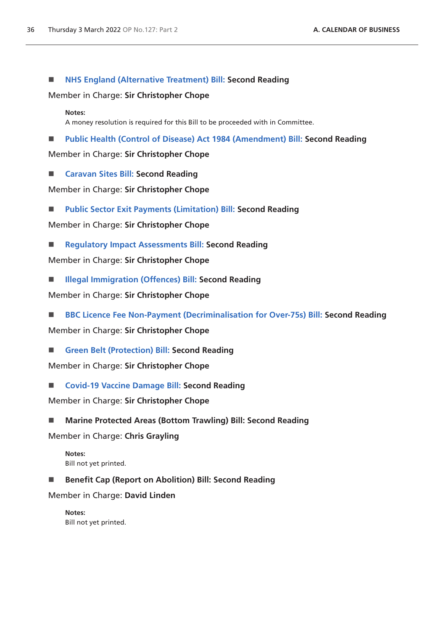■ **[NHS England \(Alternative Treatment\) Bill:](https://publications.parliament.uk/pa/bills/cbill/58-02/0094/210094.pdf) Second Reading** 

Member in Charge: **Sir Christopher Chope**

**Notes:**

A money resolution is required for this Bill to be proceeded with in Committee.

**[Public Health \(Control of Disease\) Act 1984 \(Amendment\) Bill:](https://publications.parliament.uk/pa/bills/cbill/58-02/0092/210092.pdf) Second Reading**

Member in Charge: **Sir Christopher Chope**

**[Caravan Sites Bill:](https://publications.parliament.uk/pa/bills/cbill/58-02/0106/210106.pdf) Second Reading**

Member in Charge: **Sir Christopher Chope**

**[Public Sector Exit Payments \(Limitation\) Bill:](https://publications.parliament.uk/pa/bills/cbill/58-02/0107/210107.pdf) Second Reading**

Member in Charge: **Sir Christopher Chope**

**[Regulatory Impact Assessments Bill:](https://publications.parliament.uk/pa/bills/cbill/58-02/0099/210099.pdf) Second Reading**

Member in Charge: **Sir Christopher Chope**

**[Illegal Immigration \(Offences\) Bill:](https://publications.parliament.uk/pa/bills/cbill/58-02/0104/210104.pdf) Second Reading** 

Member in Charge: **Sir Christopher Chope**

■ **[BBC Licence Fee Non-Payment \(Decriminalisation for Over-75s\) Bill:](https://publications.parliament.uk/pa/bills/cbill/58-02/0098/210098.pdf) Second Reading** 

Member in Charge: **Sir Christopher Chope**

**[Green Belt \(Protection\) Bill:](https://publications.parliament.uk/pa/bills/cbill/58-02/0108/210108.pdf) Second Reading**

Member in Charge: **Sir Christopher Chope**

■ **[Covid-19 Vaccine Damage Bill:](https://publications.parliament.uk/pa/bills/cbill/58-02/0044/210044.pdf) Second Reading** 

Member in Charge: **Sir Christopher Chope**

**Marine Protected Areas (Bottom Trawling) Bill: Second Reading**

Member in Charge: **Chris Grayling**

- **Notes:** Bill not yet printed.
- Benefit Cap (Report on Abolition) Bill: Second Reading

Member in Charge: **David Linden**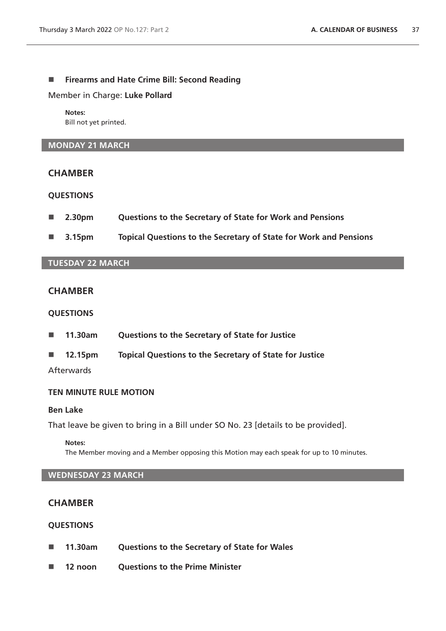## **Firearms and Hate Crime Bill: Second Reading**

Member in Charge: **Luke Pollard**

**Notes:** Bill not yet printed.

# **MONDAY 21 MARCH**

# **CHAMBER**

## **QUESTIONS**

- **2.30pm Questions to the Secretary of State for Work and Pensions**
- **3.15pm Topical Questions to the Secretary of State for Work and Pensions**

# **TUESDAY 22 MARCH**

# **CHAMBER**

#### **QUESTIONS**

- **11.30am Questions to the Secretary of State for Justice**
- **12.15pm Topical Questions to the Secretary of State for Justice**

**Afterwards** 

# **TEN MINUTE RULE MOTION**

## **Ben Lake**

That leave be given to bring in a Bill under SO No. 23 [details to be provided].

**Notes:**

The Member moving and a Member opposing this Motion may each speak for up to 10 minutes.

#### **WEDNESDAY 23 MARCH**

## **CHAMBER**

- **11.30am Questions to the Secretary of State for Wales**
- 12 noon Ouestions to the Prime Minister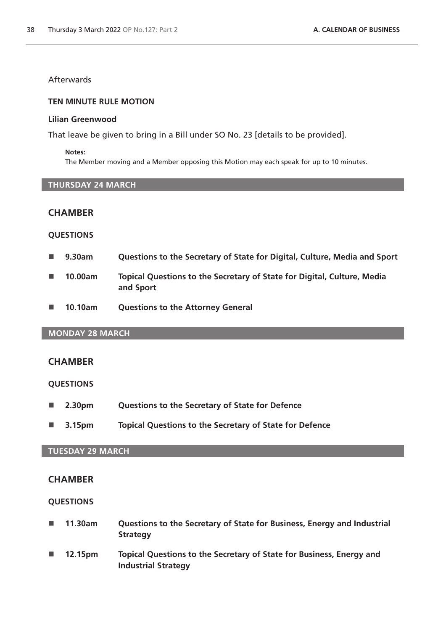# **Afterwards**

#### **TEN MINUTE RULE MOTION**

#### **Lilian Greenwood**

That leave be given to bring in a Bill under SO No. 23 [details to be provided].

#### **Notes:**

The Member moving and a Member opposing this Motion may each speak for up to 10 minutes.

## **THURSDAY 24 MARCH**

# **CHAMBER**

#### **QUESTIONS**

- **9.30am Questions to the Secretary of State for Digital, Culture, Media and Sport**
- **10.00am Topical Questions to the Secretary of State for Digital, Culture, Media and Sport**
- **10.10am Questions to the Attorney General**

# **MONDAY 28 MARCH**

## **CHAMBER**

#### **QUESTIONS**

- **2.30pm Questions to the Secretary of State for Defence**
- **3.15pm Topical Questions to the Secretary of State for Defence**

# **TUESDAY 29 MARCH**

# **CHAMBER**

- **11.30am Questions to the Secretary of State for Business, Energy and Industrial Strategy**
- **12.15pm Topical Questions to the Secretary of State for Business, Energy and Industrial Strategy**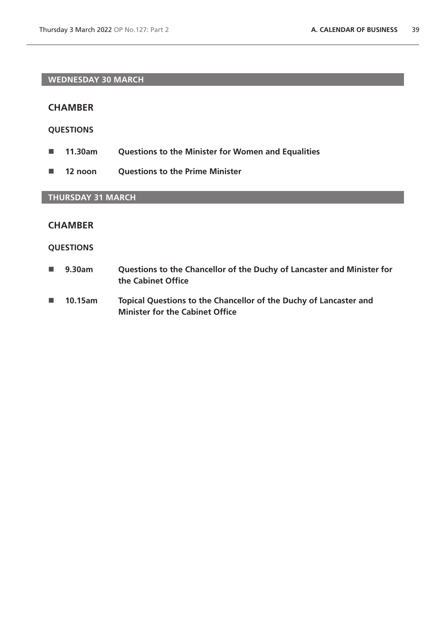# **WEDNESDAY 30 MARCH**

## **CHAMBER**

# **QUESTIONS**

- **11.30am Questions to the Minister for Women and Equalities**
- **12 noon Questions to the Prime Minister**

# **THURSDAY 31 MARCH**

# **CHAMBER**

- **9.30am Questions to the Chancellor of the Duchy of Lancaster and Minister for the Cabinet Office**
- **10.15am Topical Questions to the Chancellor of the Duchy of Lancaster and Minister for the Cabinet Office**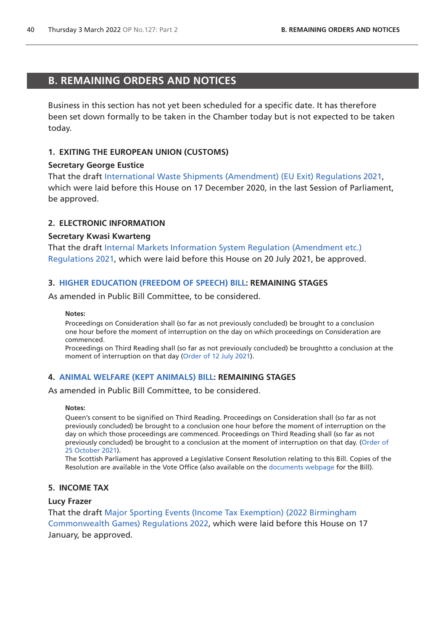# <span id="page-39-0"></span>**B. REMAINING ORDERS AND NOTICES**

Business in this section has not yet been scheduled for a specific date. It has therefore been set down formally to be taken in the Chamber today but is not expected to be taken today.

# **1. EXITING THE EUROPEAN UNION (CUSTOMS)**

#### **Secretary George Eustice**

That the draft [International Waste Shipments \(Amendment\) \(EU Exit\) Regulations 2021,](https://www.legislation.gov.uk/ukdsi/2021/9780348217650/pdfs/ukdsi_9780348217650_en.pdf) which were laid before this House on 17 December 2020, in the last Session of Parliament, be approved.

# **2. ELECTRONIC INFORMATION**

#### **Secretary Kwasi Kwarteng**

That the draft [Internal Markets Information System Regulation \(Amendment etc.\)](https://www.legislation.gov.uk/ukdsi/2021/9780348226126/pdfs/ukdsi_9780348226126_en.pdf)  [Regulations 2021](https://www.legislation.gov.uk/ukdsi/2021/9780348226126/pdfs/ukdsi_9780348226126_en.pdf), which were laid before this House on 20 July 2021, be approved.

# **3. [HIGHER EDUCATION \(FREEDOM OF SPEECH\) BILL](https://publications.parliament.uk/pa/bills/cbill/58-02/0167/210923.pdf): REMAINING STAGES**

As amended in Public Bill Committee, to be considered.

#### **Notes:**

Proceedings on Consideration shall (so far as not previously concluded) be brought to a conclusion one hour before the moment of interruption on the day on which proceedings on Consideration are commenced.

Proceedings on Third Reading shall (so far as not previously concluded) be broughtto a conclusion at the moment of interruption on that day ([Order of 12 July](https://commonsbusiness.parliament.uk/document/49375/pdf) 2021).

## **4. [ANIMAL WELFARE \(KEPT ANIMALS\) BILL](https://publications.parliament.uk/pa/bills/cbill/58-02/0195/210195.pdf): REMAINING STAGES**

As amended in Public Bill Committee, to be considered.

#### **Notes:**

Queen's consent to be signified on Third Reading. Proceedings on Consideration shall (so far as not previously concluded) be brought to a conclusion one hour before the moment of interruption on the day on which those proceedings are commenced. Proceedings on Third Reading shall (so far as not previously concluded) be brought to a conclusion at the moment of interruption on that day. ([Order of](https://commonsbusiness.parliament.uk/document/50975/pdf)  [25 October 2021](https://commonsbusiness.parliament.uk/document/50975/pdf)).

The Scottish Parliament has approved a Legislative Consent Resolution relating to this Bill. Copies of the Resolution are available in the Vote Office (also available on the [documents webpage](https://bills.parliament.uk/bills/2880/publications) for the Bill).

## **5. INCOME TAX**

## **Lucy Frazer**

That the draft [Major Sporting Events \(Income Tax Exemption\) \(2022 Birmingham](https://www.legislation.gov.uk/ukdsi/2022/9780348231120/pdfs/ukdsi_9780348231120_en.pdf)  [Commonwealth Games\) Regulations 2022](https://www.legislation.gov.uk/ukdsi/2022/9780348231120/pdfs/ukdsi_9780348231120_en.pdf), which were laid before this House on 17 January, be approved.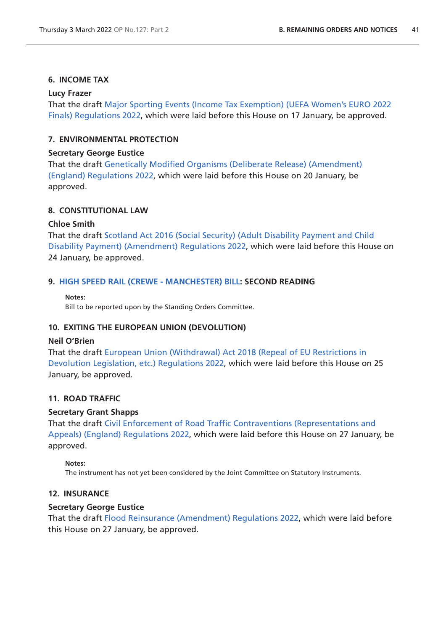## **6. INCOME TAX**

#### **Lucy Frazer**

That the draft [Major Sporting Events \(Income Tax Exemption\) \(UEFA Women's EURO 2022](https://www.legislation.gov.uk/ukdsi/2022/9780348231168/pdfs/ukdsi_9780348231168_en.pdf)  [Finals\) Regulations 2022,](https://www.legislation.gov.uk/ukdsi/2022/9780348231168/pdfs/ukdsi_9780348231168_en.pdf) which were laid before this House on 17 January, be approved.

# **7. ENVIRONMENTAL PROTECTION**

#### **Secretary George Eustice**

That the draft [Genetically Modified Organisms \(Deliberate Release\) \(Amendment\)](https://www.legislation.gov.uk/ukdsi/2022/9780348231328/pdfs/ukdsi_9780348231328_en.pdf)  [\(England\) Regulations 2022,](https://www.legislation.gov.uk/ukdsi/2022/9780348231328/pdfs/ukdsi_9780348231328_en.pdf) which were laid before this House on 20 January, be approved.

#### **8. CONSTITUTIONAL LAW**

#### **Chloe Smith**

That the draft [Scotland Act 2016 \(Social Security\) \(Adult Disability Payment and Child](https://www.legislation.gov.uk/ukdsi/2022/9780348231335/pdfs/ukdsi_9780348231335_en.pdf)  [Disability Payment\) \(Amendment\) Regulations 2022](https://www.legislation.gov.uk/ukdsi/2022/9780348231335/pdfs/ukdsi_9780348231335_en.pdf), which were laid before this House on 24 January, be approved.

## **9. [HIGH SPEED RAIL \(CREWE - MANCHESTER\) BILL](https://publications.parliament.uk/pa/bills/cbill/58-02/0228/210228.pdf): SECOND READING**

**Notes:**

Bill to be reported upon by the Standing Orders Committee.

#### **10. EXITING THE EUROPEAN UNION (DEVOLUTION)**

#### **Neil O'Brien**

That the draft [European Union \(Withdrawal\) Act 2018 \(Repeal of EU Restrictions in](https://www.legislation.gov.uk/ukdsi/2022/9780348231342/pdfs/ukdsi_9780348231342_en.pdf)  [Devolution Legislation, etc.\) Regulations 2022](https://www.legislation.gov.uk/ukdsi/2022/9780348231342/pdfs/ukdsi_9780348231342_en.pdf), which were laid before this House on 25 January, be approved.

## **11. ROAD TRAFFIC**

## **Secretary Grant Shapps**

That the draft [Civil Enforcement of Road Traffic Contraventions \(Representations and](https://www.legislation.gov.uk/ukdsi/2022/9780348231564/pdfs/ukdsi_9780348231564_en.pdf)  [Appeals\) \(England\) Regulations 2022,](https://www.legislation.gov.uk/ukdsi/2022/9780348231564/pdfs/ukdsi_9780348231564_en.pdf) which were laid before this House on 27 January, be approved.

#### **Notes:**

The instrument has not yet been considered by the Joint Committee on Statutory Instruments.

#### **12. INSURANCE**

#### **Secretary George Eustice**

That the draft [Flood Reinsurance \(Amendment\) Regulations 2022,](https://www.legislation.gov.uk/ukdsi/2022/9780348231489/pdfs/ukdsi_9780348231489_en.pdf) which were laid before this House on 27 January, be approved.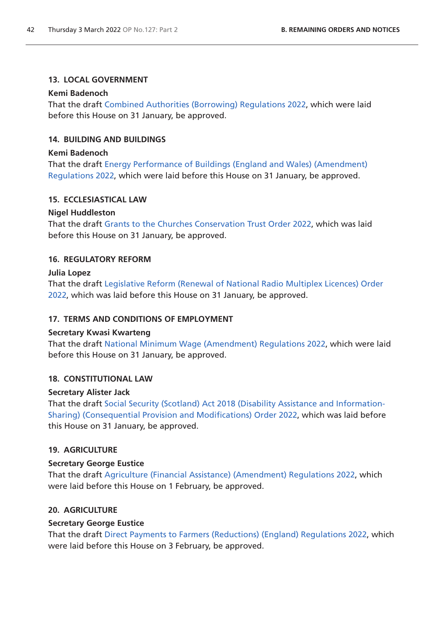# **13. LOCAL GOVERNMENT**

# **Kemi Badenoch**

That the draft [Combined Authorities \(Borrowing\) Regulations 2022](https://www.legislation.gov.uk/ukdsi/2022/9780348231625/pdfs/ukdsi_9780348231625_en.pdf), which were laid before this House on 31 January, be approved.

# **14. BUILDING AND BUILDINGS**

# **Kemi Badenoch**

That the draft [Energy Performance of Buildings \(England and Wales\) \(Amendment\)](https://www.legislation.gov.uk/ukdsi/2022/9780348231670/pdfs/ukdsi_9780348231670_en.pdf)  [Regulations 2022](https://www.legislation.gov.uk/ukdsi/2022/9780348231670/pdfs/ukdsi_9780348231670_en.pdf), which were laid before this House on 31 January, be approved.

# **15. ECCLESIASTICAL LAW**

# **Nigel Huddleston**

That the draft [Grants to the Churches Conservation Trust Order 2022,](https://www.legislation.gov.uk/ukdsi/2022/9780348231724/pdfs/ukdsi_9780348231724_en.pdf) which was laid before this House on 31 January, be approved.

# **16. REGULATORY REFORM**

# **Julia Lopez**

That the draft [Legislative Reform \(Renewal of National Radio Multiplex Licences\) Order](https://www.legislation.gov.uk/ukdsi/2022/9780348231663/pdfs/ukdsi_9780348231663_en.pdf)  [2022,](https://www.legislation.gov.uk/ukdsi/2022/9780348231663/pdfs/ukdsi_9780348231663_en.pdf) which was laid before this House on 31 January, be approved.

# **17. TERMS AND CONDITIONS OF EMPLOYMENT**

# **Secretary Kwasi Kwarteng**

That the draft [National Minimum Wage \(Amendment\) Regulations 2022,](https://www.legislation.gov.uk/ukdsi/2022/9780348231601/pdfs/ukdsi_9780348231601_en.pdf) which were laid before this House on 31 January, be approved.

# **18. CONSTITUTIONAL LAW**

# **Secretary Alister Jack**

That the draft [Social Security \(Scotland\) Act 2018 \(Disability Assistance and Information-](https://www.legislation.gov.uk/ukdsi/2022/9780348231700/pdfs/ukdsi_9780348231700_en.pdf)[Sharing\) \(Consequential Provision and Modifications\) Order 2022,](https://www.legislation.gov.uk/ukdsi/2022/9780348231700/pdfs/ukdsi_9780348231700_en.pdf) which was laid before this House on 31 January, be approved.

# **19. AGRICULTURE**

# **Secretary George Eustice**

That the draft [Agriculture \(Financial Assistance\) \(Amendment\) Regulations 2022,](https://www.legislation.gov.uk/ukdsi/2022/9780348231717/pdfs/ukdsi_9780348231717_en.pdf) which were laid before this House on 1 February, be approved.

# **20. AGRICULTURE**

# **Secretary George Eustice**

That the draft [Direct Payments to Farmers \(Reductions\) \(England\) Regulations 2022,](https://www.legislation.gov.uk/ukdsi/2022/9780348231786/pdfs/ukdsi_9780348231786_en.pdf) which were laid before this House on 3 February, be approved.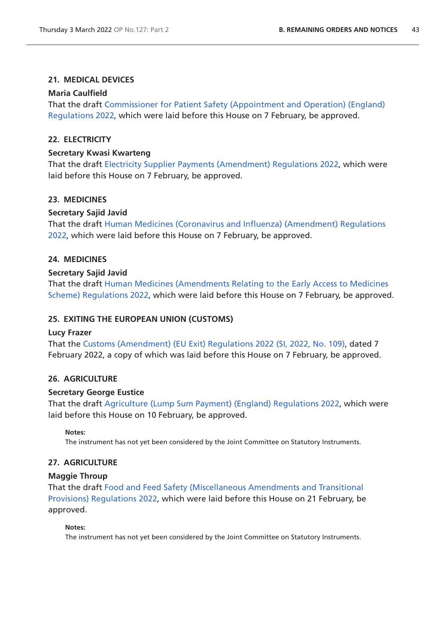# **21. MEDICAL DEVICES**

## **Maria Caulfield**

That the draft [Commissioner for Patient Safety \(Appointment and Operation\) \(England\)](https://www.legislation.gov.uk/ukdsi/2022/9780348231861/pdfs/ukdsi_9780348231861_en.pdf)  [Regulations 2022](https://www.legislation.gov.uk/ukdsi/2022/9780348231861/pdfs/ukdsi_9780348231861_en.pdf), which were laid before this House on 7 February, be approved.

# **22. ELECTRICITY**

## **Secretary Kwasi Kwarteng**

That the draft [Electricity Supplier Payments \(Amendment\) Regulations 2022,](https://www.legislation.gov.uk/ukdsi/2022/9780348231854/pdfs/ukdsi_9780348231854_en.pdf) which were laid before this House on 7 February, be approved.

## **23. MEDICINES**

## **Secretary Sajid Javid**

That the draf[t Human Medicines \(Coronavirus and Influenza\) \(Amendment\) Regulations](https://www.legislation.gov.uk/ukdsi/2022/9780348231885/pdfs/ukdsi_9780348231885_en.pdf)  [2022,](https://www.legislation.gov.uk/ukdsi/2022/9780348231885/pdfs/ukdsi_9780348231885_en.pdf) which were laid before this House on 7 February, be approved.

## **24. MEDICINES**

## **Secretary Sajid Javid**

That the draft [Human Medicines \(Amendments Relating to the Early Access to Medicines](https://www.legislation.gov.uk/ukdsi/2022/9780348231892/pdfs/ukdsi_9780348231892_en.pdf)  [Scheme\) Regulations 2022](https://www.legislation.gov.uk/ukdsi/2022/9780348231892/pdfs/ukdsi_9780348231892_en.pdf), which were laid before this House on 7 February, be approved.

## **25. EXITING THE EUROPEAN UNION (CUSTOMS)**

#### **Lucy Frazer**

That the [Customs \(Amendment\) \(EU Exit\) Regulations 2022 \(SI, 2022, No. 109\)](https://www.legislation.gov.uk/uksi/2022/109/pdfs/uksi_20220109_en.pdf), dated 7 February 2022, a copy of which was laid before this House on 7 February, be approved.

## **26. AGRICULTURE**

#### **Secretary George Eustice**

That the draft [Agriculture \(Lump Sum Payment\) \(England\) Regulations 2022](https://www.legislation.gov.uk/ukdsi/2022/9780348232035/pdfs/ukdsi_9780348232035_en.pdf), which were laid before this House on 10 February, be approved.

**Notes:**

The instrument has not yet been considered by the Joint Committee on Statutory Instruments.

## **27. AGRICULTURE**

#### **Maggie Throup**

That the draft [Food and Feed Safety \(Miscellaneous Amendments and Transitional](https://www.legislation.gov.uk/ukdsi/2022/9780348232257/pdfs/ukdsi_9780348232257_en.pdf)  [Provisions\) Regulations 2022,](https://www.legislation.gov.uk/ukdsi/2022/9780348232257/pdfs/ukdsi_9780348232257_en.pdf) which were laid before this House on 21 February, be approved.

#### **Notes:**

The instrument has not yet been considered by the Joint Committee on Statutory Instruments.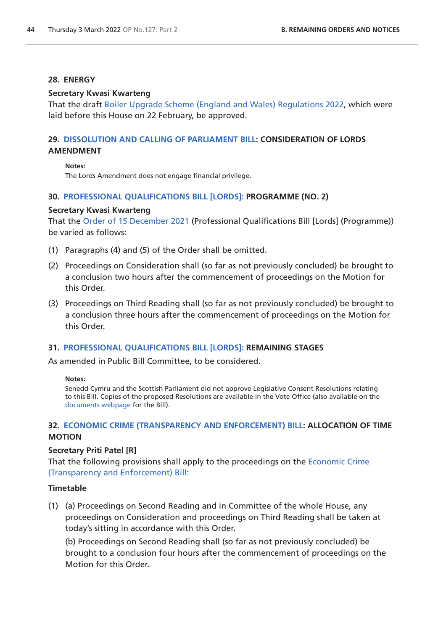# **28. ENERGY**

#### **Secretary Kwasi Kwarteng**

That the draft [Boiler Upgrade Scheme \(England and Wales\) Regulations 2022](https://www.legislation.gov.uk/ukdsi/2022/9780348232349/pdfs/ukdsi_9780348232349_en.pdf), which were laid before this House on 22 February, be approved.

# **29. [DISSOLUTION AND CALLING OF PARLIAMENT BILL:](https://publications.parliament.uk/pa/bills/cbill/58-02/0261/210261.pdf) CONSIDERATION OF LORDS AMENDMENT**

**Notes:**

The Lords Amendment does not engage financial privilege.

# **30. [PROFESSIONAL QUALIFICATIONS BILL \[LORDS\]:](https://publications.parliament.uk/pa/bills/cbill/58-02/0231/210231.pdf) PROGRAMME (NO. 2)**

#### **Secretary Kwasi Kwarteng**

That the [Order of 15 December 2021](https://commonsbusiness.parliament.uk/document/52786/pdf) (Professional Qualifications Bill [Lords] (Programme)) be varied as follows:

- (1) Paragraphs (4) and (5) of the Order shall be omitted.
- (2) Proceedings on Consideration shall (so far as not previously concluded) be brought to a conclusion two hours after the commencement of proceedings on the Motion for this Order.
- (3) Proceedings on Third Reading shall (so far as not previously concluded) be brought to a conclusion three hours after the commencement of proceedings on the Motion for this Order.

## **31. [PROFESSIONAL QUALIFICATIONS BILL \[LORDS\]:](https://publications.parliament.uk/pa/bills/cbill/58-02/0231/210231.pdf) REMAINING STAGES**

As amended in Public Bill Committee, to be considered.

#### **Notes:**

Senedd Cymru and the Scottish Parliament did not approve Legislative Consent Resolutions relating to this Bill. Copies of the proposed Resolutions are available in the Vote Office (also available on the [documents webpage](https://bills.parliament.uk/bills/2865/publications) for the Bill).

# **32. [ECONOMIC CRIME \(TRANSPARENCY AND ENFORCEMENT\) BILL:](https://publications.parliament.uk/pa/bills/cbill/58-02/0262/210262v2.pdf) ALLOCATION OF TIME MOTION**

#### **Secretary Priti Patel [R]**

That the following provisions shall apply to the proceedings on the [Economic Crime](https://publications.parliament.uk/pa/bills/cbill/58-02/0262/210262v2.pdf)  [\(Transparency and Enforcement\) Bill](https://publications.parliament.uk/pa/bills/cbill/58-02/0262/210262v2.pdf):

#### **Timetable**

(1) (a) Proceedings on Second Reading and in Committee of the whole House, any proceedings on Consideration and proceedings on Third Reading shall be taken at today's sitting in accordance with this Order.

(b) Proceedings on Second Reading shall (so far as not previously concluded) be brought to a conclusion four hours after the commencement of proceedings on the Motion for this Order.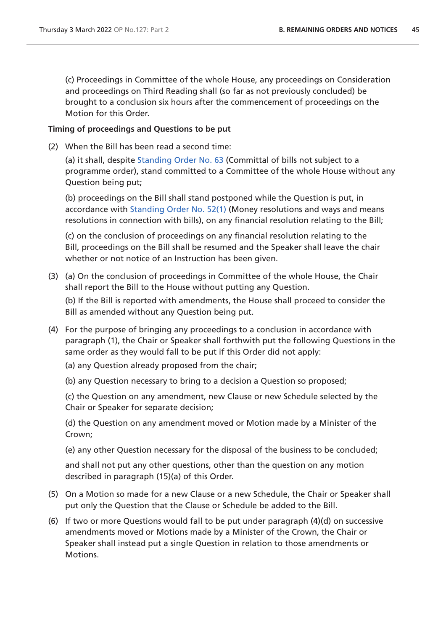(c) Proceedings in Committee of the whole House, any proceedings on Consideration and proceedings on Third Reading shall (so far as not previously concluded) be brought to a conclusion six hours after the commencement of proceedings on the Motion for this Order.

## **Timing of proceedings and Questions to be put**

(2) When the Bill has been read a second time:

(a) it shall, despite [Standing Order No. 63](https://publications.parliament.uk/pa/cm5802/cmstords/so_804_2021/so-orders.html#so-63) (Committal of bills not subject to a programme order), stand committed to a Committee of the whole House without any Question being put;

(b) proceedings on the Bill shall stand postponed while the Question is put, in accordance with [Standing Order No. 52\(1\)](https://publications.parliament.uk/pa/cm5802/cmstords/so_804_2021/so-orders.html#so-52_1) (Money resolutions and ways and means resolutions in connection with bills), on any financial resolution relating to the Bill;

(c) on the conclusion of proceedings on any financial resolution relating to the Bill, proceedings on the Bill shall be resumed and the Speaker shall leave the chair whether or not notice of an Instruction has been given.

(3) (a) On the conclusion of proceedings in Committee of the whole House, the Chair shall report the Bill to the House without putting any Question.

(b) If the Bill is reported with amendments, the House shall proceed to consider the Bill as amended without any Question being put.

- (4) For the purpose of bringing any proceedings to a conclusion in accordance with paragraph (1), the Chair or Speaker shall forthwith put the following Questions in the same order as they would fall to be put if this Order did not apply:
	- (a) any Question already proposed from the chair;
	- (b) any Question necessary to bring to a decision a Question so proposed;

(c) the Question on any amendment, new Clause or new Schedule selected by the Chair or Speaker for separate decision;

(d) the Question on any amendment moved or Motion made by a Minister of the Crown;

(e) any other Question necessary for the disposal of the business to be concluded;

and shall not put any other questions, other than the question on any motion described in paragraph (15)(a) of this Order.

- (5) On a Motion so made for a new Clause or a new Schedule, the Chair or Speaker shall put only the Question that the Clause or Schedule be added to the Bill.
- (6) If two or more Questions would fall to be put under paragraph (4)(d) on successive amendments moved or Motions made by a Minister of the Crown, the Chair or Speaker shall instead put a single Question in relation to those amendments or Motions.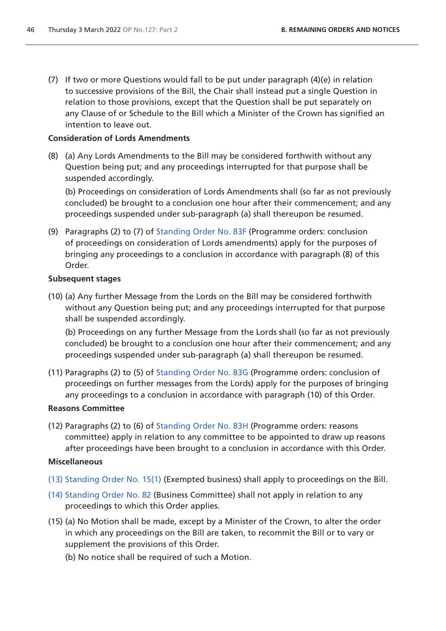(7) If two or more Questions would fall to be put under paragraph (4)(e) in relation to successive provisions of the Bill, the Chair shall instead put a single Question in relation to those provisions, except that the Question shall be put separately on any Clause of or Schedule to the Bill which a Minister of the Crown has signified an intention to leave out.

# **Consideration of Lords Amendments**

(8) (a) Any Lords Amendments to the Bill may be considered forthwith without any Question being put; and any proceedings interrupted for that purpose shall be suspended accordingly.

(b) Proceedings on consideration of Lords Amendments shall (so far as not previously concluded) be brought to a conclusion one hour after their commencement; and any proceedings suspended under sub-paragraph (a) shall thereupon be resumed.

(9) Paragraphs (2) to (7) of [Standing Order No. 83F](https://publications.parliament.uk/pa/cm5802/cmstords/so_804_2021/so-orders.html#so-83F) (Programme orders: conclusion of proceedings on consideration of Lords amendments) apply for the purposes of bringing any proceedings to a conclusion in accordance with paragraph (8) of this Order.

## **Subsequent stages**

(10) (a) Any further Message from the Lords on the Bill may be considered forthwith without any Question being put; and any proceedings interrupted for that purpose shall be suspended accordingly.

(b) Proceedings on any further Message from the Lords shall (so far as not previously concluded) be brought to a conclusion one hour after their commencement; and any proceedings suspended under sub-paragraph (a) shall thereupon be resumed.

(11) Paragraphs (2) to (5) of [Standing Order No. 83G](https://publications.parliament.uk/pa/cm5802/cmstords/so_804_2021/so-orders.html#so-83G) (Programme orders: conclusion of proceedings on further messages from the Lords) apply for the purposes of bringing any proceedings to a conclusion in accordance with paragraph (10) of this Order.

## **Reasons Committee**

(12) Paragraphs (2) to (6) of [Standing Order No. 83H](https://publications.parliament.uk/pa/cm5802/cmstords/so_804_2021/so-orders.html#so-83H) (Programme orders: reasons committee) apply in relation to any committee to be appointed to draw up reasons after proceedings have been brought to a conclusion in accordance with this Order.

## **Miscellaneous**

- (13) [Standing Order No. 15\(1\)](https://publications.parliament.uk/pa/cm5802/cmstords/so_804_2021/so-orders.html#so-15_1) (Exempted business) shall apply to proceedings on the Bill.
- (14) [Standing Order No. 82](https://publications.parliament.uk/pa/cm5802/cmstords/so_804_2021/so-orders.html#so-82) (Business Committee) shall not apply in relation to any proceedings to which this Order applies.
- (15) (a) No Motion shall be made, except by a Minister of the Crown, to alter the order in which any proceedings on the Bill are taken, to recommit the Bill or to vary or supplement the provisions of this Order.
	- (b) No notice shall be required of such a Motion.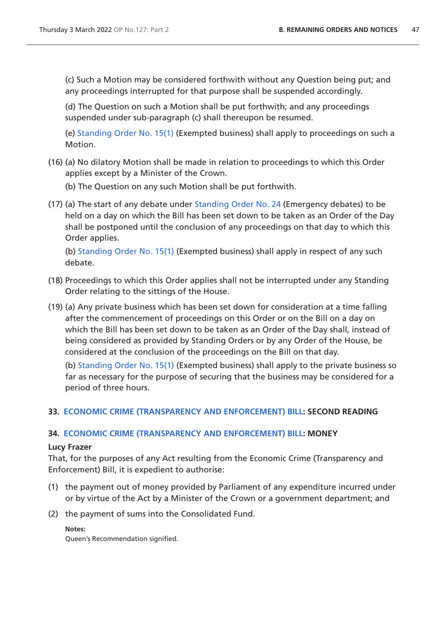(c) Such a Motion may be considered forthwith without any Question being put; and any proceedings interrupted for that purpose shall be suspended accordingly.

(d) The Question on such a Motion shall be put forthwith; and any proceedings suspended under sub-paragraph (c) shall thereupon be resumed.

(e) [Standing Order No. 15\(1\)](https://publications.parliament.uk/pa/cm5802/cmstords/so_804_2021/so-orders.html#so-15_1) (Exempted business) shall apply to proceedings on such a Motion.

- (16) (a) No dilatory Motion shall be made in relation to proceedings to which this Order applies except by a Minister of the Crown.
	- (b) The Question on any such Motion shall be put forthwith.
- (17) (a) The start of any debate under [Standing Order No. 24](https://publications.parliament.uk/pa/cm5802/cmstords/so_804_2021/so-orders.html#so-24) (Emergency debates) to be held on a day on which the Bill has been set down to be taken as an Order of the Day shall be postponed until the conclusion of any proceedings on that day to which this Order applies.

(b) [Standing Order No. 15\(1\)](https://publications.parliament.uk/pa/cm5802/cmstords/so_804_2021/so-orders.html#so-15_1) (Exempted business) shall apply in respect of any such debate.

- (18) Proceedings to which this Order applies shall not be interrupted under any Standing Order relating to the sittings of the House.
- (19) (a) Any private business which has been set down for consideration at a time falling after the commencement of proceedings on this Order or on the Bill on a day on which the Bill has been set down to be taken as an Order of the Day shall, instead of being considered as provided by Standing Orders or by any Order of the House, be considered at the conclusion of the proceedings on the Bill on that day.

(b) [Standing Order No. 15\(1\)](https://publications.parliament.uk/pa/cm5802/cmstords/so_804_2021/so-orders.html#so-15_1) (Exempted business) shall apply to the private business so far as necessary for the purpose of securing that the business may be considered for a period of three hours.

# **33. [ECONOMIC CRIME \(TRANSPARENCY AND ENFORCEMENT\) BILL:](https://publications.parliament.uk/pa/bills/cbill/58-02/0262/210262v2.pdf) SECOND READING**

## **34. [ECONOMIC CRIME \(TRANSPARENCY AND ENFORCEMENT\) BILL:](https://publications.parliament.uk/pa/bills/cbill/58-02/0262/210262v2.pdf) MONEY**

#### **Lucy Frazer**

That, for the purposes of any Act resulting from the Economic Crime (Transparency and Enforcement) Bill, it is expedient to authorise:

- (1) the payment out of money provided by Parliament of any expenditure incurred under or by virtue of the Act by a Minister of the Crown or a government department; and
- (2) the payment of sums into the Consolidated Fund.

#### **Notes:**

Queen's Recommendation signified.